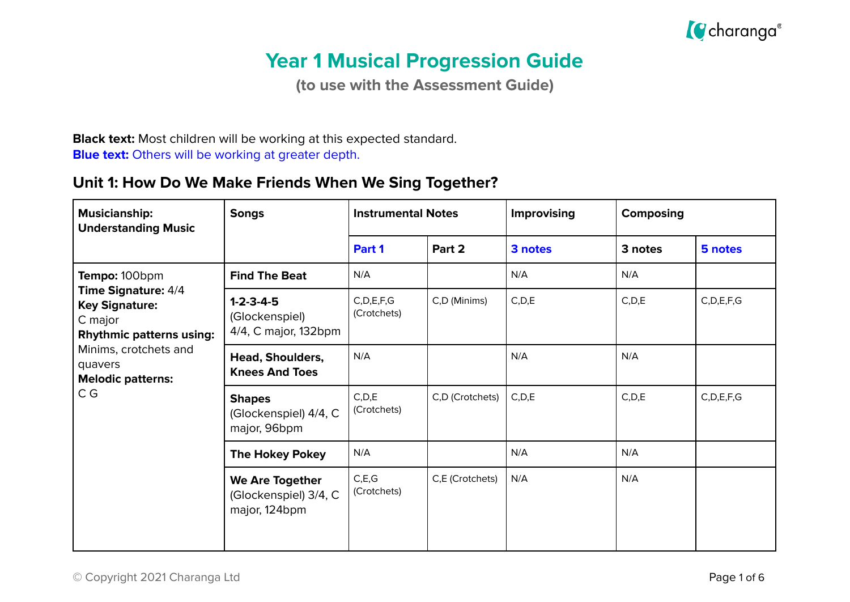

# **Year 1 Musical Progression Guide**

**(to use with the Assessment Guide)**

**Black text:** Most children will be working at this expected standard. **Blue text:** Others will be working at greater depth.

#### **Unit 1: How Do We Make Friends When We Sing Together?**

| <b>Musicianship:</b><br><b>Understanding Music</b>                                                                                                                       | <b>Songs</b>                                                     |                              | <b>Instrumental Notes</b> | <b>Improvising</b><br><b>Composing</b> |         |               |
|--------------------------------------------------------------------------------------------------------------------------------------------------------------------------|------------------------------------------------------------------|------------------------------|---------------------------|----------------------------------------|---------|---------------|
|                                                                                                                                                                          |                                                                  | Part 1                       | Part 2                    | 3 notes                                | 3 notes | 5 notes       |
| Tempo: 100bpm                                                                                                                                                            | <b>Find The Beat</b>                                             | N/A                          |                           | N/A                                    | N/A     |               |
| <b>Time Signature: 4/4</b><br><b>Key Signature:</b><br>C major<br><b>Rhythmic patterns using:</b><br>Minims, crotchets and<br>quavers<br><b>Melodic patterns:</b><br>C G | $1 - 2 - 3 - 4 - 5$<br>(Glockenspiel)<br>4/4, C major, 132bpm    | C, D, E, F, G<br>(Crotchets) | C,D (Minims)              | C, D, E                                | C, D, E | C, D, E, F, G |
|                                                                                                                                                                          | Head, Shoulders,<br><b>Knees And Toes</b>                        | N/A                          |                           | N/A                                    | N/A     |               |
|                                                                                                                                                                          | <b>Shapes</b><br>(Glockenspiel) 4/4, C<br>major, 96bpm           | C, D, E<br>(Crotchets)       | C,D (Crotchets)           | C, D, E                                | C, D, E | C, D, E, F, G |
|                                                                                                                                                                          | <b>The Hokey Pokey</b>                                           | N/A                          |                           | N/A                                    | N/A     |               |
|                                                                                                                                                                          | <b>We Are Together</b><br>(Glockenspiel) 3/4, C<br>major, 124bpm | C, E, G<br>(Crotchets)       | C,E (Crotchets)           | N/A                                    | N/A     |               |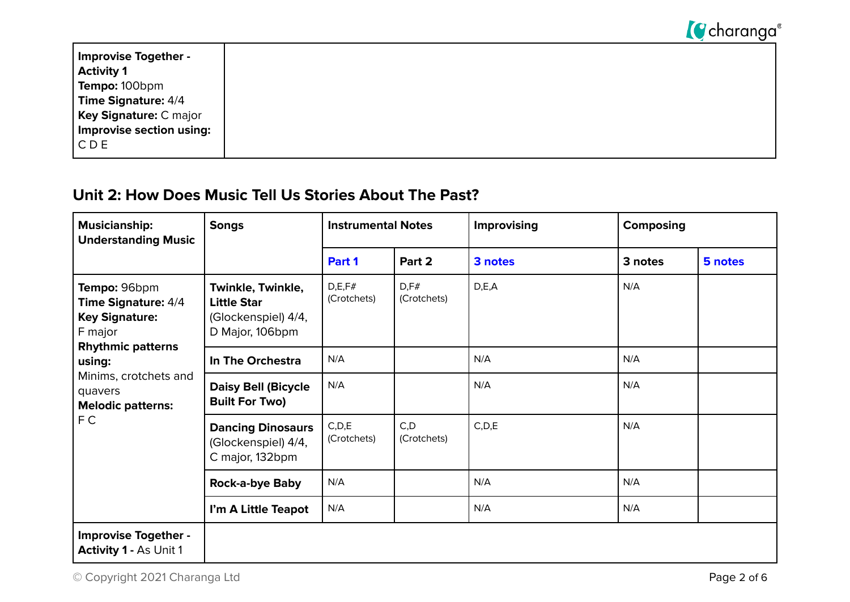

| Improvise Together -          |  |  |
|-------------------------------|--|--|
| <b>Activity 1</b>             |  |  |
| <b>Tempo:</b> 100bpm          |  |  |
| Time Signature: 4/4           |  |  |
| <b>Key Signature: C major</b> |  |  |
| Improvise section using:      |  |  |
| $\mathsf{CCDE}$               |  |  |
|                               |  |  |

#### **Unit 2: How Does Music Tell Us Stories About The Past?**

| <b>Musicianship:</b><br><b>Understanding Music</b>                                                                                                                                   | <b>Songs</b>                                                                      | <b>Instrumental Notes</b> |                      | <b>Improvising</b><br>Composing |         |         |
|--------------------------------------------------------------------------------------------------------------------------------------------------------------------------------------|-----------------------------------------------------------------------------------|---------------------------|----------------------|---------------------------------|---------|---------|
|                                                                                                                                                                                      |                                                                                   | Part 1                    | Part 2               | 3 notes                         | 3 notes | 5 notes |
| Tempo: 96bpm<br>Time Signature: 4/4<br><b>Key Signature:</b><br>F major<br><b>Rhythmic patterns</b><br>using:<br>Minims, crotchets and<br>quavers<br><b>Melodic patterns:</b><br>F C | Twinkle, Twinkle,<br><b>Little Star</b><br>(Glockenspiel) 4/4,<br>D Major, 106bpm | D,E,F#<br>(Crotchets)     | D, F#<br>(Crotchets) | D, E, A                         | N/A     |         |
|                                                                                                                                                                                      | In The Orchestra                                                                  | N/A                       |                      | N/A                             | N/A     |         |
|                                                                                                                                                                                      | <b>Daisy Bell (Bicycle</b><br><b>Built For Two)</b>                               | N/A                       |                      | N/A                             | N/A     |         |
|                                                                                                                                                                                      | <b>Dancing Dinosaurs</b><br>(Glockenspiel) 4/4,<br>C major, 132bpm                | C, D, E<br>(Crotchets)    | C, D<br>(Crotchets)  | C, D, E                         | N/A     |         |
|                                                                                                                                                                                      | <b>Rock-a-bye Baby</b>                                                            | N/A                       |                      | N/A                             | N/A     |         |
|                                                                                                                                                                                      | I'm A Little Teapot                                                               | N/A                       |                      | N/A                             | N/A     |         |
| <b>Improvise Together -</b><br><b>Activity 1 - As Unit 1</b>                                                                                                                         |                                                                                   |                           |                      |                                 |         |         |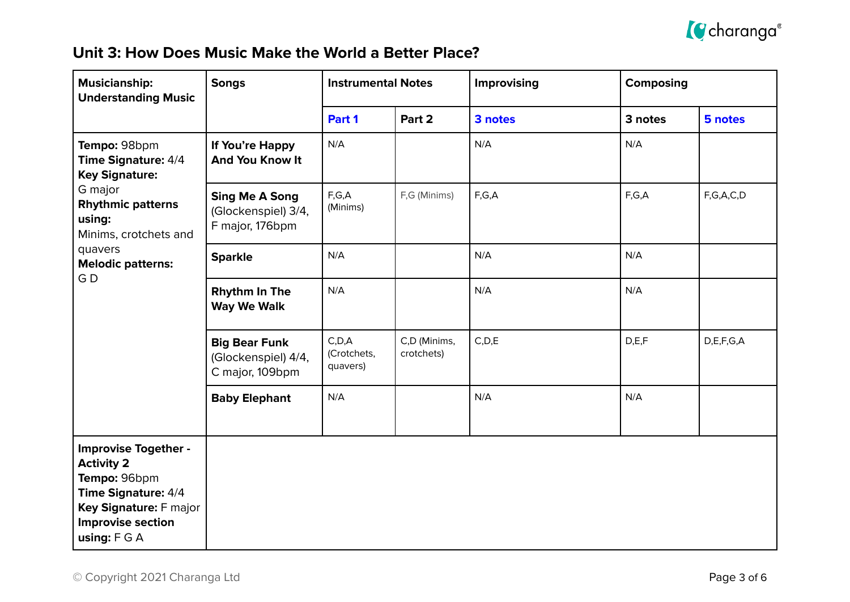

### **Unit 3: How Does Music Make the World a Better Place?**

| <b>Musicianship:</b><br><b>Understanding Music</b>                                                                                                              | <b>Songs</b>                                                    | <b>Instrumental Notes</b>          |                            | Improvising<br><b>Composing</b> |         |           |
|-----------------------------------------------------------------------------------------------------------------------------------------------------------------|-----------------------------------------------------------------|------------------------------------|----------------------------|---------------------------------|---------|-----------|
|                                                                                                                                                                 |                                                                 | Part 1                             | Part 2                     | 3 notes                         | 3 notes | 5 notes   |
| Tempo: 98bpm<br>Time Signature: 4/4<br><b>Key Signature:</b>                                                                                                    | If You're Happy<br><b>And You Know It</b>                       | N/A                                |                            | N/A                             | N/A     |           |
| G major<br><b>Rhythmic patterns</b><br>using:<br>Minims, crotchets and<br>quavers<br><b>Melodic patterns:</b><br>GD                                             | <b>Sing Me A Song</b><br>(Glockenspiel) 3/4,<br>F major, 176bpm | F,G,A<br>(Minims)                  | F,G (Minims)               | F,G,A                           | F,G,A   | F,G,A,C,D |
|                                                                                                                                                                 | <b>Sparkle</b>                                                  | N/A                                |                            | N/A                             | N/A     |           |
|                                                                                                                                                                 | <b>Rhythm In The</b><br><b>Way We Walk</b>                      | N/A                                |                            | N/A                             | N/A     |           |
|                                                                                                                                                                 | <b>Big Bear Funk</b><br>(Glockenspiel) 4/4,<br>C major, 109bpm  | C, D, A<br>(Crotchets,<br>quavers) | C,D (Minims,<br>crotchets) | C, D, E                         | D, E, F | D,E,F,G,A |
|                                                                                                                                                                 | <b>Baby Elephant</b>                                            | N/A                                |                            | N/A                             | N/A     |           |
| <b>Improvise Together -</b><br><b>Activity 2</b><br>Tempo: 96bpm<br>Time Signature: 4/4<br>Key Signature: F major<br><b>Improvise section</b><br>using: $F G A$ |                                                                 |                                    |                            |                                 |         |           |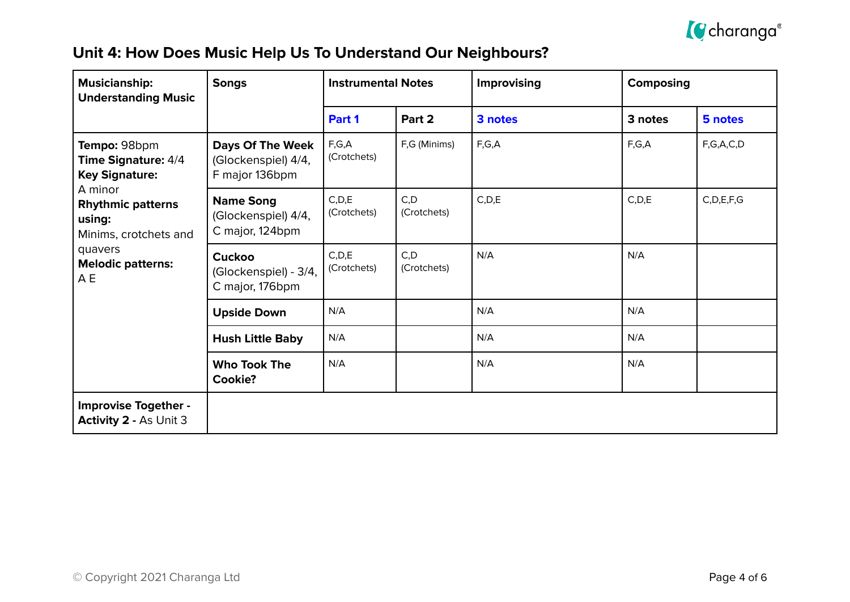

## **Unit 4: How Does Music Help Us To Understand Our Neighbours?**

| <b>Musicianship:</b><br><b>Understanding Music</b>                                                                                            | <b>Songs</b>                                                     | <b>Instrumental Notes</b> |                     | Improvising | <b>Composing</b> |               |
|-----------------------------------------------------------------------------------------------------------------------------------------------|------------------------------------------------------------------|---------------------------|---------------------|-------------|------------------|---------------|
|                                                                                                                                               |                                                                  | Part 1                    | Part 2              | 3 notes     | 3 notes          | 5 notes       |
| Tempo: 98bpm<br><b>Time Signature: 4/4</b><br><b>Key Signature:</b><br>A minor<br><b>Rhythmic patterns</b><br>using:<br>Minims, crotchets and | <b>Days Of The Week</b><br>(Glockenspiel) 4/4,<br>F major 136bpm | F,G,A<br>(Crotchets)      | F,G (Minims)        | F,G,A       | F,G,A            | F,G,A,C,D     |
|                                                                                                                                               | <b>Name Song</b><br>(Glockenspiel) 4/4,<br>C major, 124bpm       | C, D, E<br>(Crotchets)    | C, D<br>(Crotchets) | C, D, E     | C, D, E          | C, D, E, F, G |
| quavers<br><b>Melodic patterns:</b><br>A E                                                                                                    | <b>Cuckoo</b><br>(Glockenspiel) - 3/4,<br>C major, 176bpm        | C, D, E<br>(Crotchets)    | C, D<br>(Crotchets) | N/A         | N/A              |               |
|                                                                                                                                               | <b>Upside Down</b>                                               | N/A                       |                     | N/A         | N/A              |               |
|                                                                                                                                               | <b>Hush Little Baby</b>                                          | N/A                       |                     | N/A         | N/A              |               |
|                                                                                                                                               | <b>Who Took The</b><br>Cookie?                                   | N/A                       |                     | N/A         | N/A              |               |
| <b>Improvise Together -</b><br><b>Activity 2 - As Unit 3</b>                                                                                  |                                                                  |                           |                     |             |                  |               |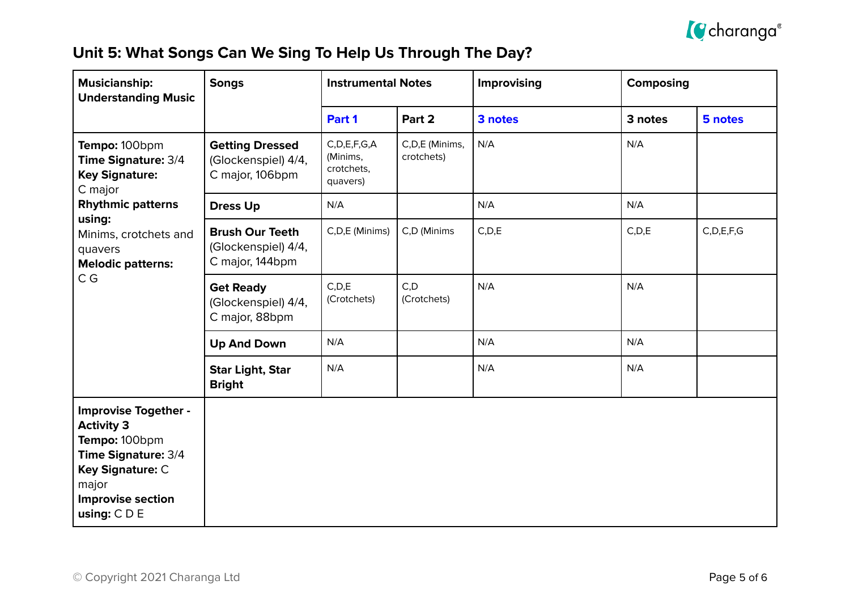

## **Unit 5: What Songs Can We Sing To Help Us Through The Day?**

| <b>Musicianship:</b><br><b>Understanding Music</b>                                                                                                                  | <b>Songs</b>                                                     | <b>Instrumental Notes</b>                              |                              | Improvising | <b>Composing</b> |               |
|---------------------------------------------------------------------------------------------------------------------------------------------------------------------|------------------------------------------------------------------|--------------------------------------------------------|------------------------------|-------------|------------------|---------------|
|                                                                                                                                                                     |                                                                  | Part 1                                                 | Part 2                       | 3 notes     | 3 notes          | 5 notes       |
| Tempo: 100bpm<br>Time Signature: 3/4<br><b>Key Signature:</b><br>C major                                                                                            | <b>Getting Dressed</b><br>(Glockenspiel) 4/4,<br>C major, 106bpm | C, D, E, F, G, A<br>(Minims,<br>crotchets,<br>quavers) | C,D,E (Minims,<br>crotchets) | N/A         | N/A              |               |
| <b>Rhythmic patterns</b>                                                                                                                                            | <b>Dress Up</b>                                                  | N/A                                                    |                              | N/A         | N/A              |               |
| using:<br>Minims, crotchets and<br>quavers<br><b>Melodic patterns:</b><br>C G                                                                                       | <b>Brush Our Teeth</b><br>(Glockenspiel) 4/4,<br>C major, 144bpm | C,D,E (Minims)                                         | C,D (Minims                  | C, D, E     | C, D, E          | C, D, E, F, G |
|                                                                                                                                                                     | <b>Get Ready</b><br>(Glockenspiel) 4/4,<br>C major, 88bpm        | C, D, E<br>(Crotchets)                                 | C, D<br>(Crotchets)          | N/A         | N/A              |               |
|                                                                                                                                                                     | <b>Up And Down</b>                                               | N/A                                                    |                              | N/A         | N/A              |               |
|                                                                                                                                                                     | <b>Star Light, Star</b><br><b>Bright</b>                         | N/A                                                    |                              | N/A         | N/A              |               |
| <b>Improvise Together -</b><br><b>Activity 3</b><br>Tempo: 100bpm<br>Time Signature: 3/4<br>Key Signature: C<br>major<br><b>Improvise section</b><br>using: $C D E$ |                                                                  |                                                        |                              |             |                  |               |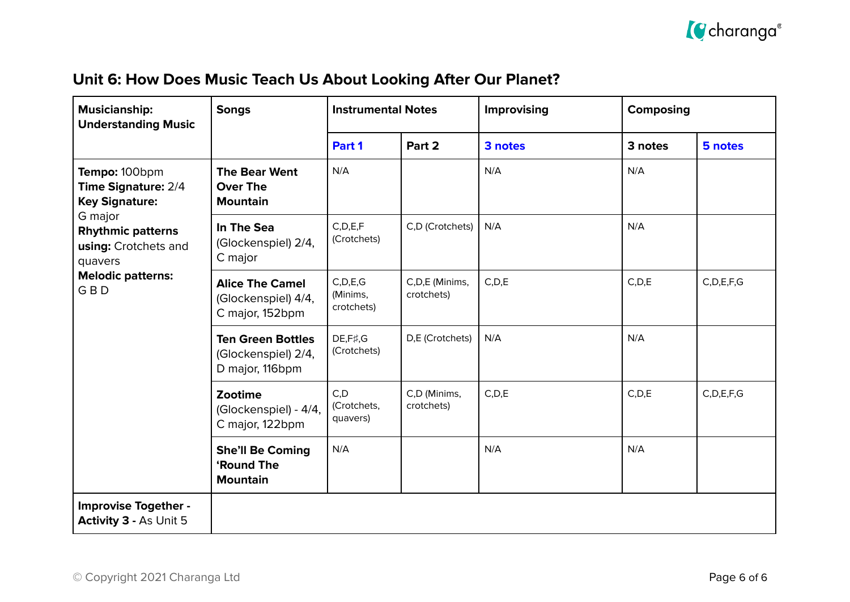

|  |  | Unit 6: How Does Music Teach Us About Looking After Our Planet? |
|--|--|-----------------------------------------------------------------|
|--|--|-----------------------------------------------------------------|

| <b>Musicianship:</b><br><b>Understanding Music</b>                     | <b>Songs</b>                                                       | <b>Instrumental Notes</b>            |                              | Improvising<br><b>Composing</b> |         |               |
|------------------------------------------------------------------------|--------------------------------------------------------------------|--------------------------------------|------------------------------|---------------------------------|---------|---------------|
|                                                                        |                                                                    | Part 1                               | Part 2                       | 3 notes                         | 3 notes | 5 notes       |
| Tempo: 100bpm<br>Time Signature: 2/4<br><b>Key Signature:</b>          | <b>The Bear Went</b><br><b>Over The</b><br><b>Mountain</b>         | N/A                                  |                              | N/A                             | N/A     |               |
| G major<br><b>Rhythmic patterns</b><br>using: Crotchets and<br>quavers | In The Sea<br>(Glockenspiel) 2/4,<br>C major                       | C, D, E, F<br>(Crotchets)            | C,D (Crotchets)              | N/A                             | N/A     |               |
| <b>Melodic patterns:</b><br><b>GBD</b>                                 | <b>Alice The Camel</b><br>(Glockenspiel) 4/4,<br>C major, 152bpm   | C, D, E, G<br>(Minims,<br>crotchets) | C,D,E (Minims,<br>crotchets) | C, D, E                         | C, D, E | C, D, E, F, G |
|                                                                        | <b>Ten Green Bottles</b><br>(Glockenspiel) 2/4,<br>D major, 116bpm | DE, F#, G<br>(Crotchets)             | D,E (Crotchets)              | N/A                             | N/A     |               |
|                                                                        | Zootime<br>(Glockenspiel) - 4/4,<br>C major, 122bpm                | C, D<br>(Crotchets,<br>quavers)      | C,D (Minims,<br>crotchets)   | C, D, E                         | C, D, E | C, D, E, F, G |
|                                                                        | <b>She'll Be Coming</b><br><b>'Round The</b><br><b>Mountain</b>    | N/A                                  |                              | N/A                             | N/A     |               |
| <b>Improvise Together -</b><br><b>Activity 3 - As Unit 5</b>           |                                                                    |                                      |                              |                                 |         |               |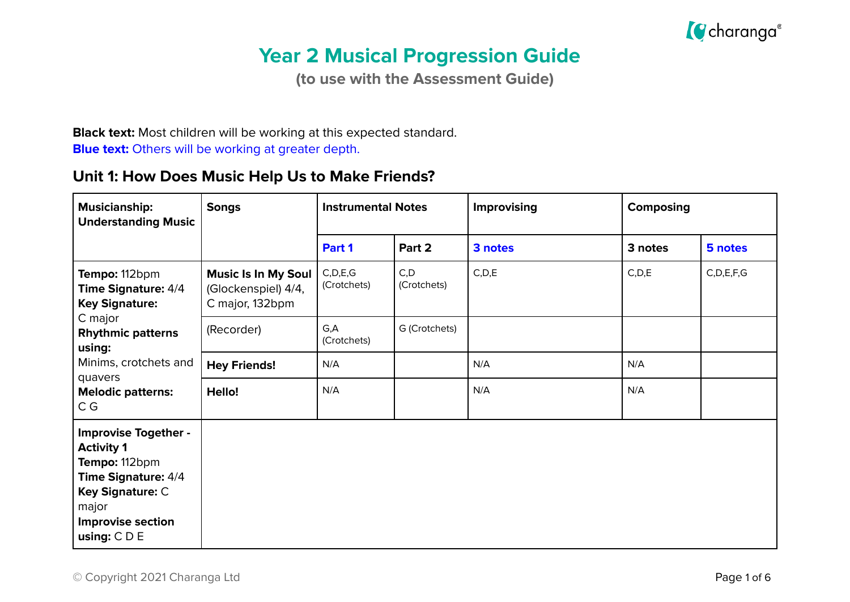

# **Year 2 Musical Progression Guide**

**(to use with the Assessment Guide)**

**Black text:** Most children will be working at this expected standard. **Blue text:** Others will be working at greater depth.

#### **Unit 1: How Does Music Help Us to Make Friends?**

| <b>Musicianship:</b><br><b>Understanding Music</b>                                                                                                                         | <b>Songs</b>                                                  |                           | <b>Instrumental Notes</b> | Improvising | <b>Composing</b> |               |
|----------------------------------------------------------------------------------------------------------------------------------------------------------------------------|---------------------------------------------------------------|---------------------------|---------------------------|-------------|------------------|---------------|
|                                                                                                                                                                            |                                                               | Part 1                    | Part 2                    | 3 notes     | 3 notes          | 5 notes       |
| Tempo: 112bpm<br>Time Signature: 4/4<br><b>Key Signature:</b>                                                                                                              | Music Is In My Soul<br>(Glockenspiel) 4/4,<br>C major, 132bpm | C, D, E, G<br>(Crotchets) | C, D<br>(Crotchets)       | C, D, E     | C, D, E          | C, D, E, F, G |
| C major<br><b>Rhythmic patterns</b><br>using:                                                                                                                              | (Recorder)                                                    | G,A<br>(Crotchets)        | G (Crotchets)             |             |                  |               |
| Minims, crotchets and                                                                                                                                                      | <b>Hey Friends!</b>                                           | N/A                       |                           | N/A         | N/A              |               |
| quavers<br><b>Melodic patterns:</b><br>C G                                                                                                                                 | Hello!                                                        | N/A                       |                           | N/A         | N/A              |               |
| <b>Improvise Together -</b><br><b>Activity 1</b><br>Tempo: 112bpm<br><b>Time Signature: 4/4</b><br>Key Signature: C<br>major<br><b>Improvise section</b><br>using: $C D E$ |                                                               |                           |                           |             |                  |               |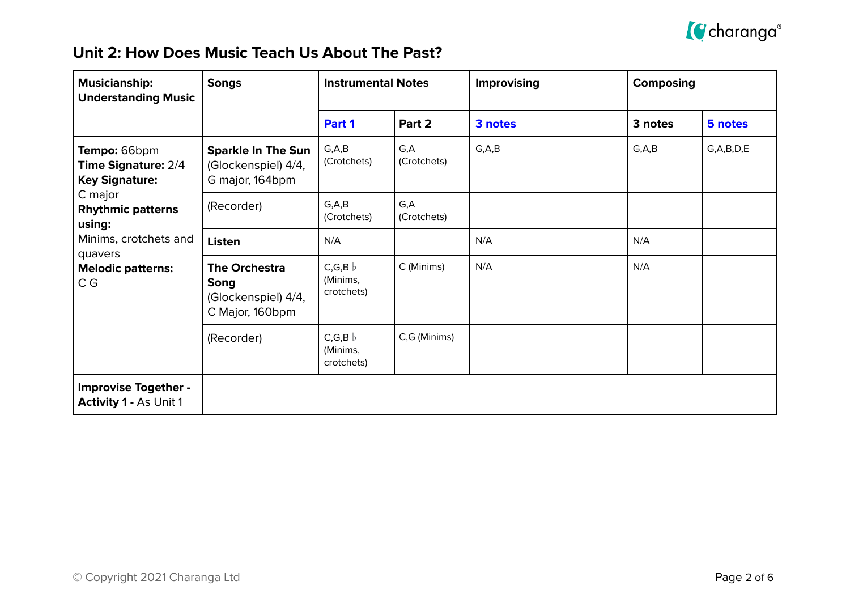

### **Unit 2: How Does Music Teach Us About The Past?**

| <b>Musicianship:</b><br><b>Understanding Music</b>                                                                   | <b>Songs</b>                                                           | <b>Instrumental Notes</b>                |                     | <b>Improvising</b> | <b>Composing</b> |               |
|----------------------------------------------------------------------------------------------------------------------|------------------------------------------------------------------------|------------------------------------------|---------------------|--------------------|------------------|---------------|
|                                                                                                                      |                                                                        | Part 1                                   | Part 2              | 3 notes            | 3 notes          | 5 notes       |
| Tempo: 66bpm<br><b>Time Signature: 2/4</b><br><b>Key Signature:</b><br>C major<br><b>Rhythmic patterns</b><br>using: | <b>Sparkle In The Sun</b><br>(Glockenspiel) 4/4,<br>G major, 164bpm    | G, A, B<br>(Crotchets)                   | G,A<br>(Crotchets)  | G, A, B            | G, A, B          | G, A, B, D, E |
|                                                                                                                      | (Recorder)                                                             | G, A, B<br>(Crotchets)                   | G, A<br>(Crotchets) |                    |                  |               |
| Minims, crotchets and                                                                                                | <b>Listen</b>                                                          | N/A                                      |                     | N/A                | N/A              |               |
| quavers<br><b>Melodic patterns:</b><br>C G                                                                           | <b>The Orchestra</b><br>Song<br>(Glockenspiel) 4/4,<br>C Major, 160bpm | $C, G, B \; b$<br>(Minims,<br>crotchets) | C (Minims)          | N/A                | N/A              |               |
|                                                                                                                      | (Recorder)                                                             | $C, G, B \;$<br>(Minims,<br>crotchets)   | C,G (Minims)        |                    |                  |               |
| <b>Improvise Together -</b><br><b>Activity 1 - As Unit 1</b>                                                         |                                                                        |                                          |                     |                    |                  |               |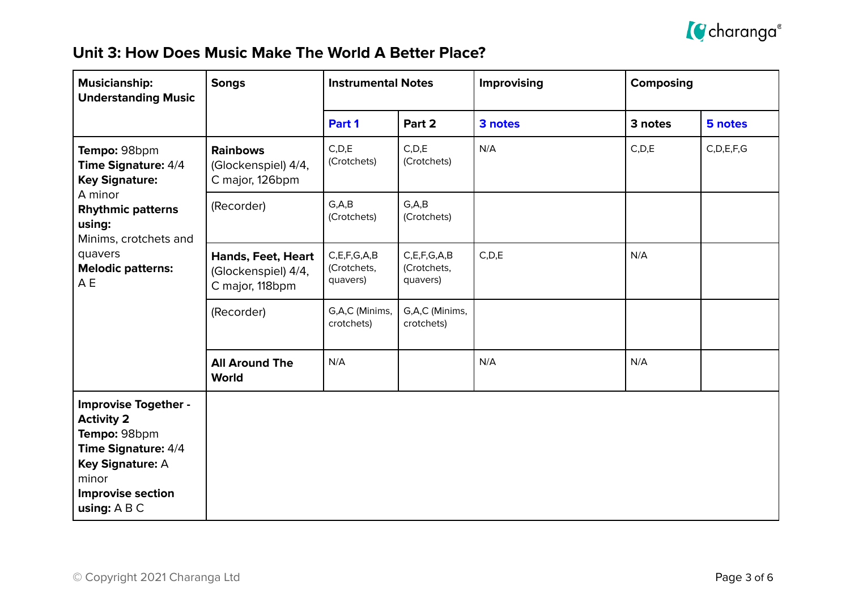

#### **Unit 3: How Does Music Make The World A Better Place?**

| <b>Musicianship:</b><br><b>Understanding Music</b>                                                                                                                                   | <b>Songs</b>                                                        | <b>Instrumental Notes</b>                   |                                             | <b>Improvising</b> | <b>Composing</b> |               |
|--------------------------------------------------------------------------------------------------------------------------------------------------------------------------------------|---------------------------------------------------------------------|---------------------------------------------|---------------------------------------------|--------------------|------------------|---------------|
|                                                                                                                                                                                      |                                                                     | Part 1                                      | Part 2                                      | 3 notes            | 3 notes          | 5 notes       |
| Tempo: 98bpm<br>Time Signature: 4/4<br><b>Key Signature:</b><br>A minor<br><b>Rhythmic patterns</b><br>using:<br>Minims, crotchets and<br>quavers<br><b>Melodic patterns:</b><br>A E | <b>Rainbows</b><br>(Glockenspiel) 4/4,<br>C major, 126bpm           | C, D, E<br>(Crotchets)                      | C, D, E<br>(Crotchets)                      | N/A                | C, D, E          | C, D, E, F, G |
|                                                                                                                                                                                      | (Recorder)                                                          | G, A, B<br>(Crotchets)                      | G, A, B<br>(Crotchets)                      |                    |                  |               |
|                                                                                                                                                                                      | <b>Hands, Feet, Heart</b><br>(Glockenspiel) 4/4,<br>C major, 118bpm | C, E, F, G, A, B<br>(Crotchets,<br>quavers) | C, E, F, G, A, B<br>(Crotchets,<br>quavers) | C, D, E            | N/A              |               |
|                                                                                                                                                                                      | (Recorder)                                                          | G,A,C (Minims,<br>crotchets)                | G,A,C (Minims,<br>crotchets)                |                    |                  |               |
|                                                                                                                                                                                      | <b>All Around The</b><br><b>World</b>                               | N/A                                         |                                             | N/A                | N/A              |               |
| <b>Improvise Together -</b><br><b>Activity 2</b><br>Tempo: 98bpm<br>Time Signature: 4/4<br>Key Signature: A<br>minor<br><b>Improvise section</b><br>using: A B C                     |                                                                     |                                             |                                             |                    |                  |               |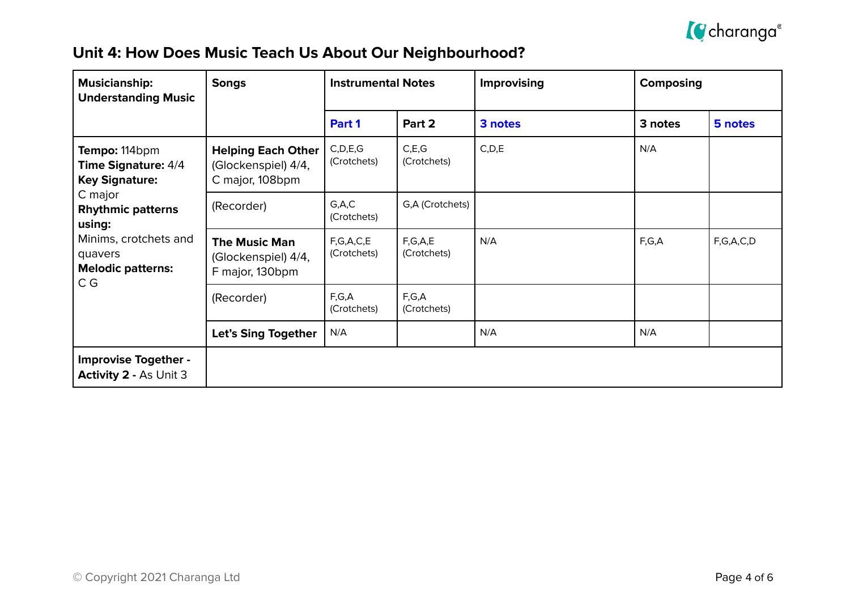

| Unit 4: How Does Music Teach Us About Our Neighbourhood? |  |  |  |
|----------------------------------------------------------|--|--|--|
|----------------------------------------------------------|--|--|--|

| <b>Musicianship:</b><br><b>Understanding Music</b>                  | <b>Songs</b>                                                        | <b>Instrumental Notes</b> |                        | Improvising | <b>Composing</b> |           |  |
|---------------------------------------------------------------------|---------------------------------------------------------------------|---------------------------|------------------------|-------------|------------------|-----------|--|
|                                                                     |                                                                     | Part 1                    | Part 2                 | 3 notes     | 3 notes          | 5 notes   |  |
| Tempo: 114bpm<br>Time Signature: 4/4<br><b>Key Signature:</b>       | <b>Helping Each Other</b><br>(Glockenspiel) 4/4,<br>C major, 108bpm | C, D, E, G<br>(Crotchets) | C, E, G<br>(Crotchets) | C, D, E     | N/A              |           |  |
| C major<br><b>Rhythmic patterns</b><br>using:                       | (Recorder)                                                          | G, A, C<br>(Crotchets)    | G,A (Crotchets)        |             |                  |           |  |
| Minims, crotchets and<br>quavers<br><b>Melodic patterns:</b><br>C G | <b>The Music Man</b><br>(Glockenspiel) 4/4,<br>F major, 130bpm      | F,G,A,C,E<br>(Crotchets)  | F,G,A,E<br>(Crotchets) | N/A         | F,G,A            | F,G,A,C,D |  |
|                                                                     | (Recorder)                                                          | F,G,A<br>(Crotchets)      | F,G,A<br>(Crotchets)   |             |                  |           |  |
|                                                                     | Let's Sing Together                                                 | N/A                       |                        | N/A         | N/A              |           |  |
| <b>Improvise Together -</b><br><b>Activity 2 - As Unit 3</b>        |                                                                     |                           |                        |             |                  |           |  |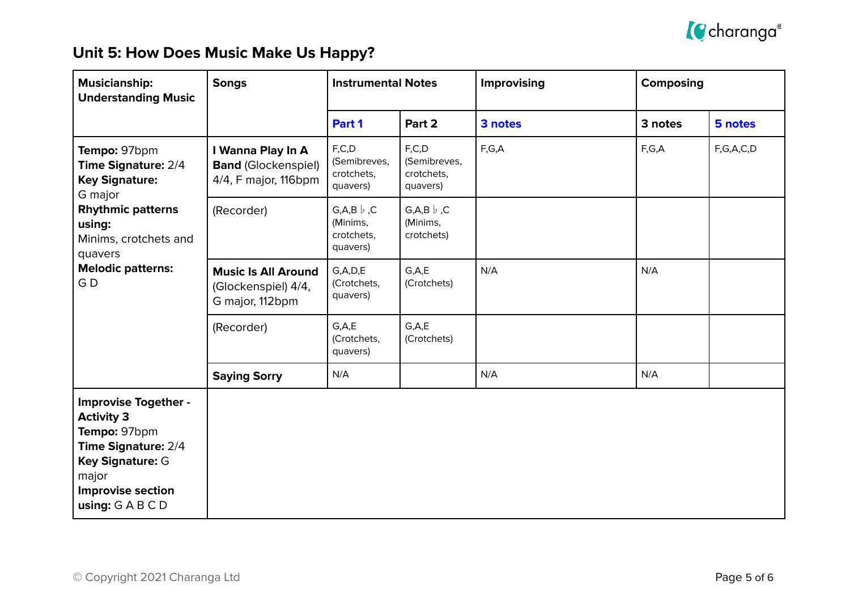

## **Unit 5: How Does Music Make Us Happy?**

| <b>Musicianship:</b><br><b>Understanding Music</b>                                                                                                                               | <b>Songs</b>                                                            | <b>Instrumental Notes</b>                                      |                                                     | Improvising | Composing |           |
|----------------------------------------------------------------------------------------------------------------------------------------------------------------------------------|-------------------------------------------------------------------------|----------------------------------------------------------------|-----------------------------------------------------|-------------|-----------|-----------|
|                                                                                                                                                                                  |                                                                         | Part 1                                                         | Part 2                                              | 3 notes     | 3 notes   | 5 notes   |
| Tempo: 97bpm<br>Time Signature: 2/4<br><b>Key Signature:</b><br>G major                                                                                                          | I Wanna Play In A<br><b>Band (Glockenspiel)</b><br>4/4, F major, 116bpm | F, C, D<br>(Semibreves,<br>crotchets,<br>quavers)              | F, C, D<br>(Semibreves,<br>crotchets,<br>quavers)   | F,G,A       | F,G,A     | F,G,A,C,D |
| <b>Rhythmic patterns</b><br>using:<br>Minims, crotchets and<br>quavers                                                                                                           | (Recorder)                                                              | $G, A, B \, \flat \,$ ,C<br>(Minims,<br>crotchets,<br>quavers) | $G, A, B \, \flat \,$ , C<br>(Minims,<br>crotchets) |             |           |           |
| <b>Melodic patterns:</b><br>GD                                                                                                                                                   | <b>Music Is All Around</b><br>(Glockenspiel) 4/4,<br>G major, 112bpm    | G, A, D, E<br>(Crotchets,<br>quavers)                          | G.A.E<br>(Crotchets)                                | N/A         | N/A       |           |
|                                                                                                                                                                                  | (Recorder)                                                              | G.A.E<br>(Crotchets,<br>quavers)                               | G.A.E<br>(Crotchets)                                |             |           |           |
|                                                                                                                                                                                  | <b>Saying Sorry</b>                                                     | N/A                                                            |                                                     | N/A         | N/A       |           |
| <b>Improvise Together -</b><br><b>Activity 3</b><br>Tempo: 97bpm<br>Time Signature: 2/4<br>Key Signature: G<br>major<br><b>Improvise section</b><br>using: $G \land B \subset D$ |                                                                         |                                                                |                                                     |             |           |           |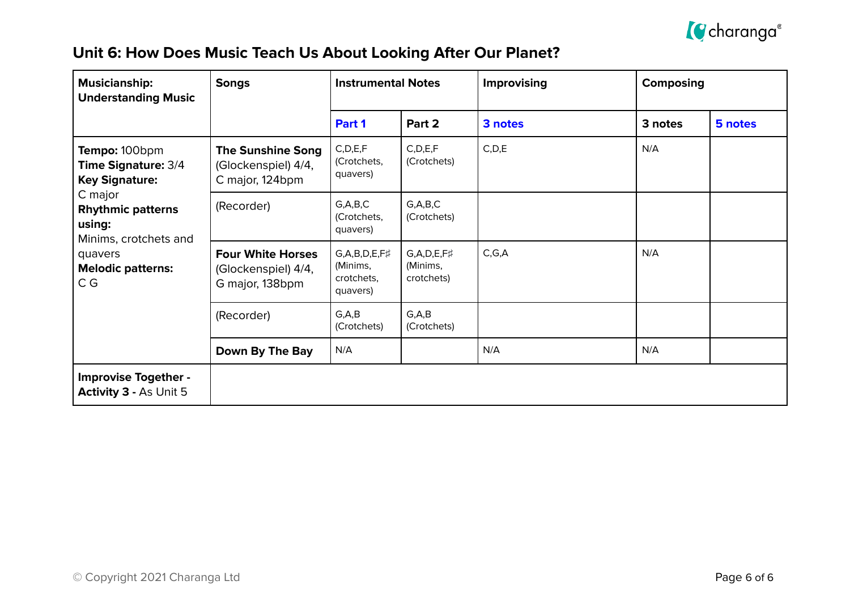

## **Unit 6: How Does Music Teach Us About Looking After Our Planet?**

| <b>Musicianship:</b><br><b>Understanding Music</b>                     | <b>Songs</b>                                                       | <b>Instrumental Notes</b>                                      |                                                 | Improvising | Composing |         |  |
|------------------------------------------------------------------------|--------------------------------------------------------------------|----------------------------------------------------------------|-------------------------------------------------|-------------|-----------|---------|--|
|                                                                        |                                                                    | Part 1                                                         | Part 2                                          | 3 notes     | 3 notes   | 5 notes |  |
| Tempo: 100bpm<br><b>Time Signature: 3/4</b><br><b>Key Signature:</b>   | <b>The Sunshine Song</b><br>(Glockenspiel) 4/4,<br>C major, 124bpm | C, D, E, F<br>(Crotchets,<br>quavers)                          | C, D, E, F<br>(Crotchets)                       | C, D, E     | N/A       |         |  |
| C major<br><b>Rhythmic patterns</b><br>using:<br>Minims, crotchets and | (Recorder)                                                         | G, A, B, C<br>(Crotchets,<br>quavers)                          | G, A, B, C<br>(Crotchets)                       |             |           |         |  |
| quavers<br><b>Melodic patterns:</b><br>C G                             | <b>Four White Horses</b><br>(Glockenspiel) 4/4,<br>G major, 138bpm | $G, A, B, D, E, F\sharp$<br>(Minims,<br>crotchets,<br>quavers) | $G, A, D, E, F\sharp$<br>(Minims,<br>crotchets) | C, G, A     | N/A       |         |  |
|                                                                        | (Recorder)                                                         | G, A, B<br>(Crotchets)                                         | G, A, B<br>(Crotchets)                          |             |           |         |  |
|                                                                        | Down By The Bay                                                    | N/A                                                            |                                                 | N/A         | N/A       |         |  |
| <b>Improvise Together -</b><br><b>Activity 3 - As Unit 5</b>           |                                                                    |                                                                |                                                 |             |           |         |  |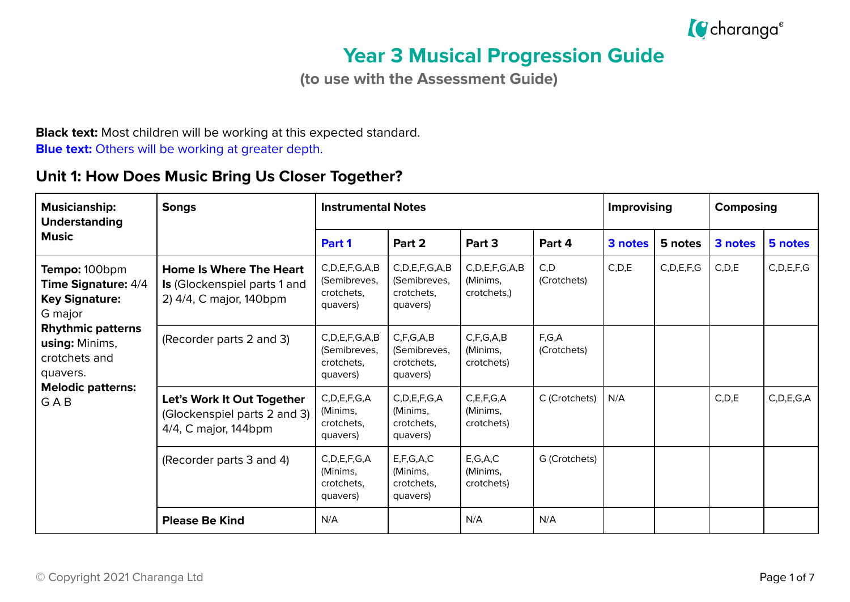

# **Year 3 Musical Progression Guide**

**(to use with the Assessment Guide)**

**Black text:** Most children will be working at this expected standard. **Blue text:** Others will be working at greater depth.

### **Unit 1: How Does Music Bring Us Closer Together?**

| <b>Musicianship:</b><br><b>Understanding</b>                                                                                                               | <b>Songs</b>                                                                                     | <b>Instrumental Notes</b>                                     |                                                               |                                                |                      |         | <b>Improvising</b> |         | Composing     |  |
|------------------------------------------------------------------------------------------------------------------------------------------------------------|--------------------------------------------------------------------------------------------------|---------------------------------------------------------------|---------------------------------------------------------------|------------------------------------------------|----------------------|---------|--------------------|---------|---------------|--|
| <b>Music</b>                                                                                                                                               |                                                                                                  | Part 1                                                        | Part 2                                                        | Part 3                                         | Part 4               | 3 notes | 5 notes            | 3 notes | 5 notes       |  |
| Tempo: 100bpm<br><b>Time Signature: 4/4</b><br><b>Key Signature:</b><br>G major<br><b>Rhythmic patterns</b><br>using: Minims,<br>crotchets and<br>quavers. | <b>Home Is Where The Heart</b><br><b>Is</b> (Glockenspiel parts 1 and<br>2) 4/4, C major, 140bpm | C, D, E, F, G, A, B<br>(Semibreves,<br>crotchets,<br>quavers) | C, D, E, F, G, A, B<br>(Semibreves,<br>crotchets,<br>quavers) | C, D, E, F, G, A, B<br>(Minims,<br>crotchets,) | C, D<br>(Crotchets)  | C, D, E | C, D, E, F, G      | C, D, E | C, D, E, F, G |  |
|                                                                                                                                                            | (Recorder parts 2 and 3)                                                                         | C, D, E, F, G, A, B<br>(Semibreves,<br>crotchets.<br>quavers) | C, F, G, A, B<br>(Semibreves,<br>crotchets.<br>quavers)       | C, F, G, A, B<br>(Minims,<br>crotchets)        | F,G,A<br>(Crotchets) |         |                    |         |               |  |
| <b>Melodic patterns:</b><br>GAB                                                                                                                            | Let's Work It Out Together<br>(Glockenspiel parts 2 and 3)<br>4/4, C major, 144bpm               | C, D, E, F, G, A<br>(Minims,<br>crotchets.<br>quavers)        | C, D, E, F, G, A<br>(Minims,<br>crotchets.<br>quavers)        | C, E, F, G, A<br>(Minims,<br>crotchets)        | C (Crotchets)        | N/A     |                    | C, D, E | C, D, E, G, A |  |
|                                                                                                                                                            | (Recorder parts 3 and 4)                                                                         | C, D, E, F, G, A<br>(Minims,<br>crotchets.<br>quavers)        | E, F, G, A, C<br>(Minims,<br>crotchets.<br>quavers)           | E, G, A, C<br>(Minims,<br>crotchets)           | G (Crotchets)        |         |                    |         |               |  |
|                                                                                                                                                            | <b>Please Be Kind</b>                                                                            | N/A                                                           |                                                               | N/A                                            | N/A                  |         |                    |         |               |  |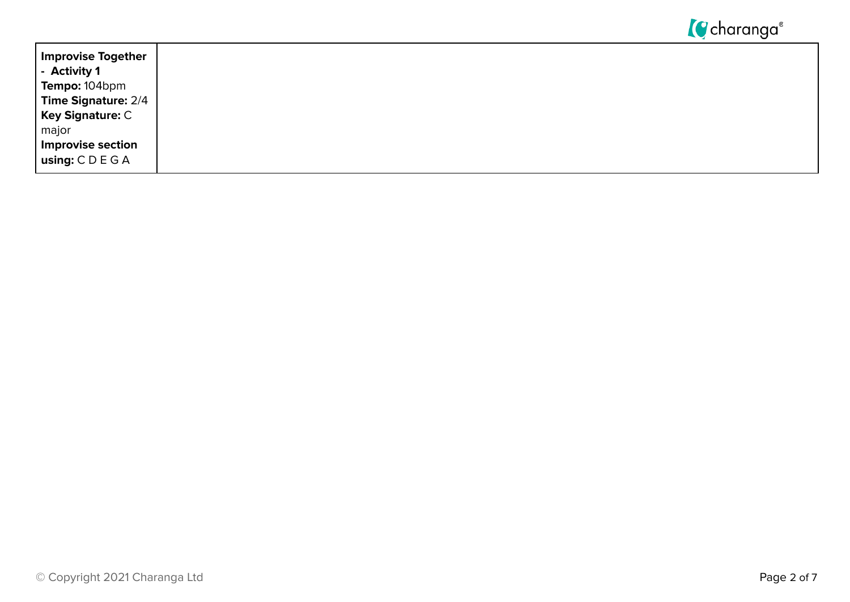

| Improvise Together<br>$\vert$ - Activity 1 |
|--------------------------------------------|
| Tempo: 104bpm                              |
| <b>Time Signature: 2/4</b>                 |
| <b>Key Signature: C</b>                    |
| major                                      |
| <b>Improvise section</b>                   |
| using: $C D E G A$                         |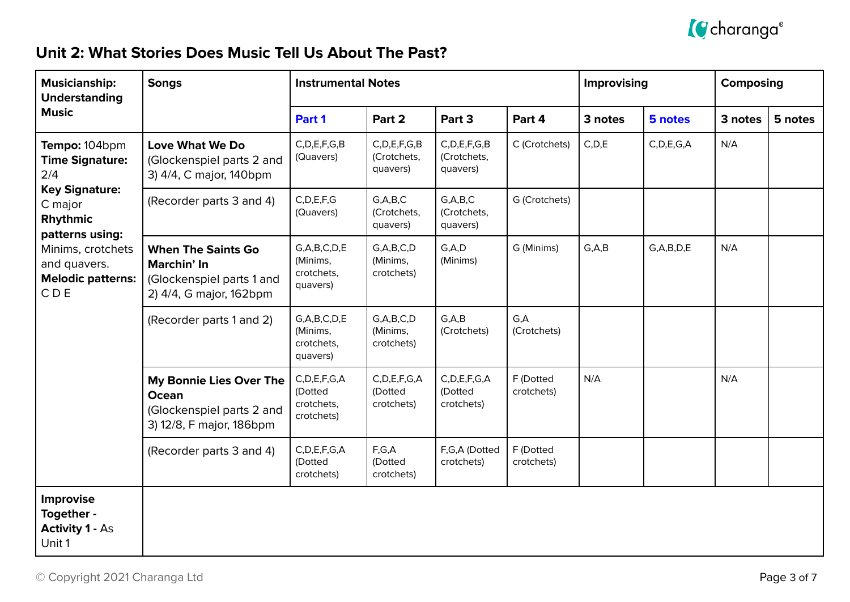

### **Unit 2: What Stories Does Music Tell Us About The Past?**

| <b>Musicianship:</b><br><b>Understanding</b>                                                                                                                                              | <b>Songs</b>                                                                                     | <b>Instrumental Notes</b>                               |                                             |                                             | Improvising             |         | <b>Composing</b> |         |         |
|-------------------------------------------------------------------------------------------------------------------------------------------------------------------------------------------|--------------------------------------------------------------------------------------------------|---------------------------------------------------------|---------------------------------------------|---------------------------------------------|-------------------------|---------|------------------|---------|---------|
| <b>Music</b>                                                                                                                                                                              |                                                                                                  | Part 1                                                  | Part 2                                      | Part 3                                      | Part 4                  | 3 notes | 5 notes          | 3 notes | 5 notes |
| Tempo: 104bpm<br><b>Time Signature:</b><br>2/4<br><b>Key Signature:</b><br>C major<br>Rhythmic<br>patterns using:<br>Minims, crotchets<br>and quavers.<br><b>Melodic patterns:</b><br>CDE | <b>Love What We Do</b><br>(Glockenspiel parts 2 and<br>3) 4/4, C major, 140bpm                   | C, D, E, F, G, B<br>(Quavers)                           | C, D, E, F, G, B<br>(Crotchets,<br>quavers) | C, D, E, F, G, B<br>(Crotchets,<br>quavers) | C (Crotchets)           | C, D, E | C, D, E, G, A    | N/A     |         |
|                                                                                                                                                                                           | (Recorder parts 3 and 4)                                                                         | C, D, E, F, G<br>(Quavers)                              | G, A, B, C<br>(Crotchets,<br>quavers)       | G, A, B, C<br>(Crotchets,<br>quavers)       | G (Crotchets)           |         |                  |         |         |
|                                                                                                                                                                                           | <b>When The Saints Go</b><br>Marchin' In<br>(Glockenspiel parts 1 and<br>2) 4/4, G major, 162bpm | G, A, B, C, D, E<br>(Minims,<br>crotchets,<br>quavers)  | G, A, B, C, D<br>(Minims,<br>crotchets)     | G, A, D<br>(Minims)                         | G (Minims)              | G, A, B | G, A, B, D, E    | N/A     |         |
|                                                                                                                                                                                           | (Recorder parts 1 and 2)                                                                         | G, A, B, C, D, E<br>(Minims,<br>crotchets,<br>quavers)  | G, A, B, C, D<br>(Minims,<br>crotchets)     | G, A, B<br>(Crotchets)                      | G,A<br>(Crotchets)      |         |                  |         |         |
|                                                                                                                                                                                           | My Bonnie Lies Over The<br><b>Ocean</b><br>(Glockenspiel parts 2 and<br>3) 12/8, F major, 186bpm | C, D, E, F, G, A<br>(Dotted<br>crotchets,<br>crotchets) | C, D, E, F, G, A<br>(Dotted<br>crotchets)   | C, D, E, F, G, A<br>(Dotted<br>crotchets)   | F (Dotted<br>crotchets) | N/A     |                  | N/A     |         |
|                                                                                                                                                                                           | (Recorder parts 3 and 4)                                                                         | C, D, E, F, G, A<br>(Dotted<br>crotchets)               | F,G,A<br>(Dotted<br>crotchets)              | F,G,A (Dotted<br>crotchets)                 | F (Dotted<br>crotchets) |         |                  |         |         |
| <b>Improvise</b><br>Together -<br><b>Activity 1 - As</b><br>Unit 1                                                                                                                        |                                                                                                  |                                                         |                                             |                                             |                         |         |                  |         |         |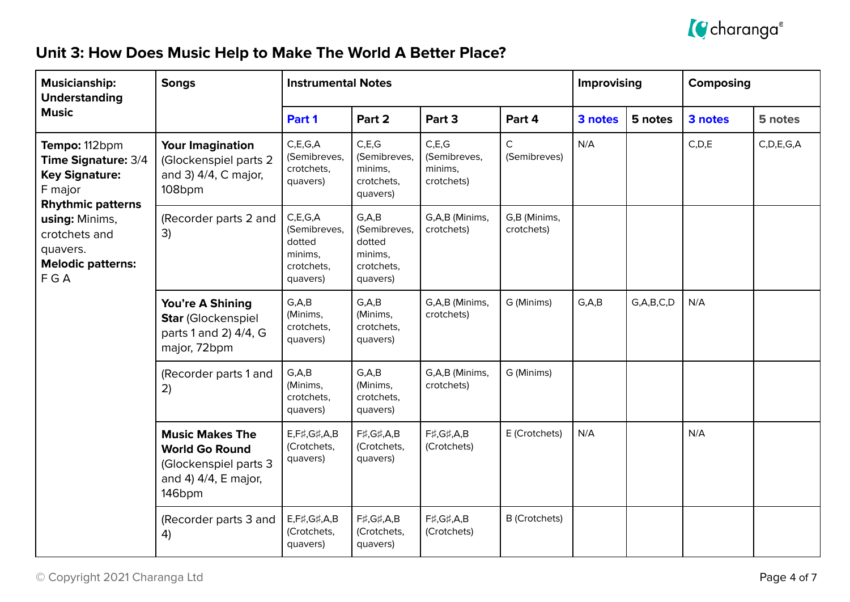

## **Unit 3: How Does Music Help to Make The World A Better Place?**

| <b>Musicianship:</b><br><b>Understanding</b>                                                         | <b>Songs</b>                                                                                               | <b>Instrumental Notes</b>                                                 |                                                                        |                                                | Improvising                  |         | Composing     |         |               |
|------------------------------------------------------------------------------------------------------|------------------------------------------------------------------------------------------------------------|---------------------------------------------------------------------------|------------------------------------------------------------------------|------------------------------------------------|------------------------------|---------|---------------|---------|---------------|
| <b>Music</b>                                                                                         |                                                                                                            | Part 1                                                                    | Part 2                                                                 | Part 3                                         | Part 4                       | 3 notes | 5 notes       | 3 notes | 5 notes       |
| Tempo: 112bpm<br>Time Signature: 3/4<br><b>Key Signature:</b><br>F major<br><b>Rhythmic patterns</b> | <b>Your Imagination</b><br>(Glockenspiel parts 2<br>and 3) 4/4, C major,<br>108bpm                         | C, E, G, A<br>(Semibreves,<br>crotchets,<br>quavers)                      | C, E, G<br>(Semibreves,<br>minims,<br>crotchets,<br>quavers)           | C.E.G<br>(Semibreves,<br>minims,<br>crotchets) | $\mathsf{C}$<br>(Semibreves) | N/A     |               | C, D, E | C, D, E, G, A |
| using: Minims,<br>crotchets and<br>quavers.<br><b>Melodic patterns:</b><br>FGA                       | (Recorder parts 2 and<br>3)                                                                                | C, E, G, A<br>(Semibreves,<br>dotted<br>minims,<br>crotchets,<br>quavers) | G, A, B<br>(Semibreves,<br>dotted<br>minims,<br>crotchets,<br>quavers) | G,A,B (Minims,<br>crotchets)                   | G,B (Minims,<br>crotchets)   |         |               |         |               |
|                                                                                                      | You're A Shining<br>Star (Glockenspiel<br>parts 1 and 2) 4/4, G<br>major, 72bpm                            | G, A, B<br>(Minims,<br>crotchets,<br>quavers)                             | G, A, B<br>(Minims,<br>crotchets,<br>quavers)                          | G,A,B (Minims,<br>crotchets)                   | G (Minims)                   | G, A, B | G, A, B, C, D | N/A     |               |
|                                                                                                      | (Recorder parts 1 and<br>2)                                                                                | G, A, B<br>(Minims,<br>crotchets,<br>quavers)                             | G, A, B<br>(Minims,<br>crotchets,<br>quavers)                          | G,A,B (Minims,<br>crotchets)                   | G (Minims)                   |         |               |         |               |
|                                                                                                      | <b>Music Makes The</b><br><b>World Go Round</b><br>(Glockenspiel parts 3<br>and 4) 4/4, E major,<br>146bpm | $E, F\sharp, G\sharp, A, B$<br>(Crotchets,<br>quavers)                    | F#, G#, A, B<br>(Crotchets,<br>quavers)                                | F#, G#, A, B<br>(Crotchets)                    | E (Crotchets)                | N/A     |               | N/A     |               |
|                                                                                                      | (Recorder parts 3 and<br>4)                                                                                | $E, F\sharp, G\sharp, A, B$<br>(Crotchets,<br>quavers)                    | F#,G#,A,B<br>(Crotchets,<br>quavers)                                   | F#, G#, A, B<br>(Crotchets)                    | <b>B</b> (Crotchets)         |         |               |         |               |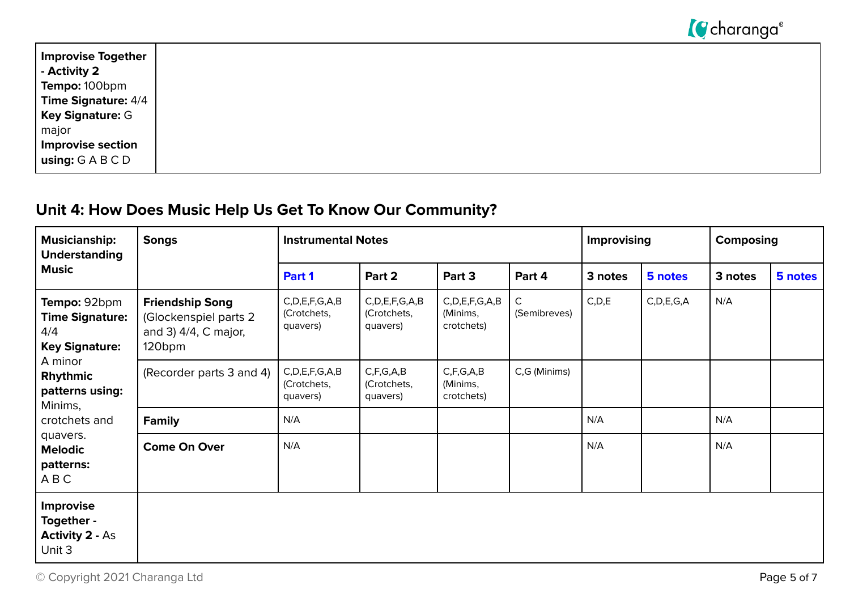

| <b>Improvise Together</b>  |
|----------------------------|
| - Activity 2               |
| Tempo: 100bpm              |
| <b>Time Signature: 4/4</b> |
| <b>Key Signature: G</b>    |
| major                      |
| Improvise section          |
| using: GABCD               |

## **Unit 4: How Does Music Help Us Get To Know Our Community?**

| <b>Musicianship:</b><br><b>Understanding</b>                                                                                | <b>Songs</b>                                                                                  | <b>Instrumental Notes</b>                      |                                                |                                               | Improvising                  |         | Composing     |         |         |
|-----------------------------------------------------------------------------------------------------------------------------|-----------------------------------------------------------------------------------------------|------------------------------------------------|------------------------------------------------|-----------------------------------------------|------------------------------|---------|---------------|---------|---------|
| <b>Music</b>                                                                                                                |                                                                                               | Part 1                                         | Part 2                                         | Part 3                                        | Part 4                       | 3 notes | 5 notes       | 3 notes | 5 notes |
| Tempo: 92bpm<br><b>Time Signature:</b><br>4/4<br><b>Key Signature:</b><br>A minor<br>Rhythmic<br>patterns using:<br>Minims, | <b>Friendship Song</b><br>(Glockenspiel parts 2<br>and 3) 4/4, C major,<br>120 <sub>bpm</sub> | C, D, E, F, G, A, B<br>(Crotchets,<br>quavers) | C, D, E, F, G, A, B<br>(Crotchets,<br>quavers) | C, D, E, F, G, A, B<br>(Minims,<br>crotchets) | $\mathsf{C}$<br>(Semibreves) | C, D, E | C, D, E, G, A | N/A     |         |
|                                                                                                                             | (Recorder parts 3 and 4)                                                                      | C, D, E, F, G, A, B<br>(Crotchets,<br>quavers) | C, F, G, A, B<br>(Crotchets,<br>quavers)       | C, F, G, A, B<br>(Minims,<br>crotchets)       | C,G (Minims)                 |         |               |         |         |
| crotchets and                                                                                                               | <b>Family</b>                                                                                 | N/A                                            |                                                |                                               |                              | N/A     |               | N/A     |         |
| quavers.<br><b>Melodic</b><br>patterns:<br>ABC                                                                              | <b>Come On Over</b>                                                                           | N/A                                            |                                                |                                               |                              | N/A     |               | N/A     |         |
| Improvise<br>Together -<br><b>Activity 2 - As</b><br>Unit 3                                                                 |                                                                                               |                                                |                                                |                                               |                              |         |               |         |         |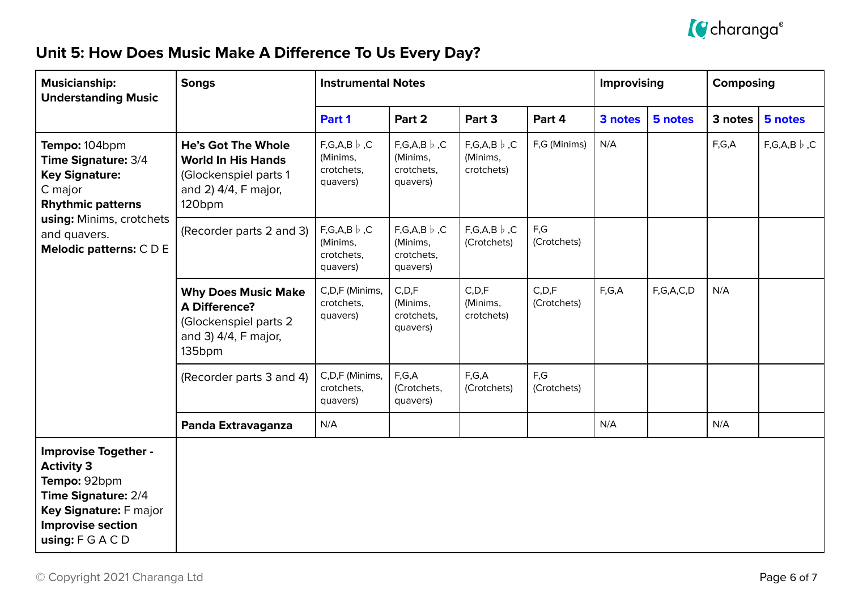

## **Unit 5: How Does Music Make A Difference To Us Every Day?**

| <b>Musicianship:</b><br><b>Understanding Music</b>                                                                                                                               | <b>Songs</b>                                                                                                                  | <b>Instrumental Notes</b>                                   |                                                             |                                                 |                        | Improvising |           | Composing |                      |
|----------------------------------------------------------------------------------------------------------------------------------------------------------------------------------|-------------------------------------------------------------------------------------------------------------------------------|-------------------------------------------------------------|-------------------------------------------------------------|-------------------------------------------------|------------------------|-------------|-----------|-----------|----------------------|
|                                                                                                                                                                                  |                                                                                                                               | Part 1                                                      | Part 2                                                      | Part 3                                          | Part 4                 | 3 notes     | 5 notes   | 3 notes   | 5 notes              |
| Tempo: 104bpm<br><b>Time Signature: 3/4</b><br><b>Key Signature:</b><br>C major<br><b>Rhythmic patterns</b><br>using: Minims, crotchets<br>and quavers.<br>Melodic patterns: CDE | <b>He's Got The Whole</b><br><b>World In His Hands</b><br>(Glockenspiel parts 1<br>and 2) 4/4, F major,<br>120 <sub>bpm</sub> | $F,G,A,B \nvert b, C$<br>(Minims,<br>crotchets,<br>quavers) | $F,G,A,B$ $\flat$ , C<br>(Minims,<br>crotchets,<br>quavers) | $F,G,A,B$ $\flat$ , C<br>(Minims,<br>crotchets) | F,G (Minims)           | N/A         |           | F,G,A     | $F,G,A,B$ $\flat$ ,C |
|                                                                                                                                                                                  | (Recorder parts 2 and 3)                                                                                                      | $F,G,A,B$ $\flat$ ,C<br>(Minims,<br>crotchets,<br>quavers)  | $F,G,A,B$ $\flat$ ,C<br>(Minims,<br>crotchets,<br>quavers)  | $F,G,A,B$ $\flat$ , C<br>(Crotchets)            | F,G<br>(Crotchets)     |             |           |           |                      |
|                                                                                                                                                                                  | <b>Why Does Music Make</b><br><b>A Difference?</b><br>(Glockenspiel parts 2<br>and 3) 4/4, F major,<br>135bpm                 | C,D,F (Minims,<br>crotchets,<br>quavers)                    | C, D, F<br>(Minims,<br>crotchets,<br>quavers)               | C, D, F<br>(Minims,<br>crotchets)               | C, D, F<br>(Crotchets) | F,G,A       | F,G,A,C,D | N/A       |                      |
|                                                                                                                                                                                  | (Recorder parts 3 and 4)                                                                                                      | C,D,F (Minims,<br>crotchets,<br>quavers)                    | F,G,A<br>(Crotchets,<br>quavers)                            | F,G,A<br>(Crotchets)                            | F,G<br>(Crotchets)     |             |           |           |                      |
|                                                                                                                                                                                  | Panda Extravaganza                                                                                                            | N/A                                                         |                                                             |                                                 |                        | N/A         |           | N/A       |                      |
| <b>Improvise Together -</b><br><b>Activity 3</b><br>Tempo: 92bpm<br>Time Signature: 2/4<br>Key Signature: F major<br><b>Improvise section</b><br>using: $F G A C D$              |                                                                                                                               |                                                             |                                                             |                                                 |                        |             |           |           |                      |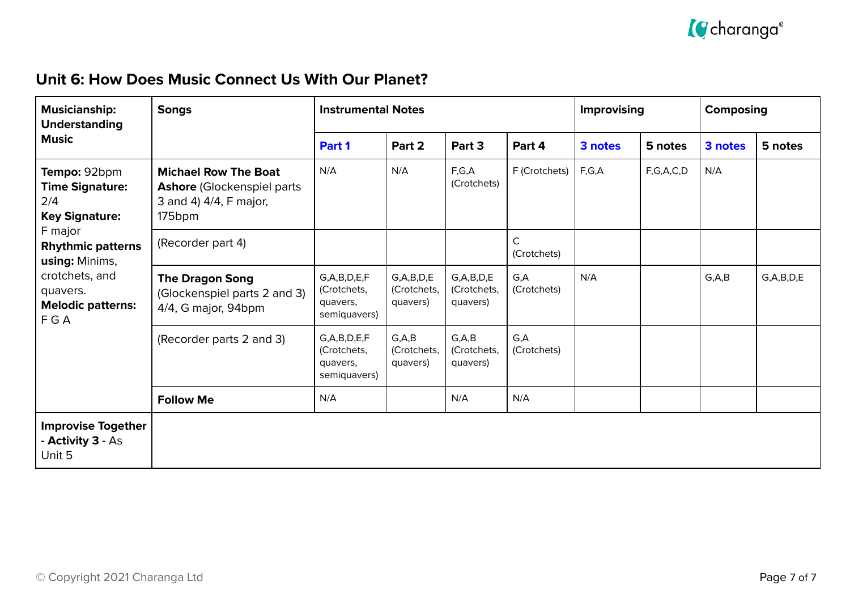

#### **Unit 6: How Does Music Connect Us With Our Planet?**

| <b>Musicianship:</b><br><b>Understanding</b>                                                                                                                                                            | <b>Songs</b>                                                                                          | <b>Instrumental Notes</b>                                   |                                          |                                          |                             | Improvising |           | Composing |               |
|---------------------------------------------------------------------------------------------------------------------------------------------------------------------------------------------------------|-------------------------------------------------------------------------------------------------------|-------------------------------------------------------------|------------------------------------------|------------------------------------------|-----------------------------|-------------|-----------|-----------|---------------|
| <b>Music</b>                                                                                                                                                                                            |                                                                                                       | Part 1                                                      | Part 2                                   | Part 3                                   | Part 4                      | 3 notes     | 5 notes   | 3 notes   | 5 notes       |
| Tempo: 92bpm<br><b>Time Signature:</b><br>2/4<br><b>Key Signature:</b><br>F major<br><b>Rhythmic patterns</b><br>using: Minims,<br>crotchets, and<br>quavers.<br><b>Melodic patterns:</b><br><b>FGA</b> | <b>Michael Row The Boat</b><br><b>Ashore (Glockenspiel parts)</b><br>3 and 4) 4/4, F major,<br>175bpm | N/A                                                         | N/A                                      | F,G,A<br>(Crotchets)                     | F (Crotchets)               | F,G,A       | F,G,A,C,D | N/A       |               |
|                                                                                                                                                                                                         | (Recorder part 4)                                                                                     |                                                             |                                          |                                          | $\mathsf{C}$<br>(Crotchets) |             |           |           |               |
|                                                                                                                                                                                                         | <b>The Dragon Song</b><br>(Glockenspiel parts 2 and 3)<br>4/4, G major, 94bpm                         | G, A, B, D, E, F<br>(Crotchets,<br>quavers,<br>semiquavers) | G, A, B, D, E<br>(Crotchets,<br>quavers) | G, A, B, D, E<br>(Crotchets,<br>quavers) | G,A<br>(Crotchets)          | N/A         |           | G, A, B   | G, A, B, D, E |
|                                                                                                                                                                                                         | (Recorder parts 2 and 3)                                                                              | G, A, B, D, E, F<br>(Crotchets,<br>quavers,<br>semiquavers) | G, A, B<br>(Crotchets,<br>quavers)       | G, A, B<br>(Crotchets,<br>quavers)       | G,A<br>(Crotchets)          |             |           |           |               |
|                                                                                                                                                                                                         | <b>Follow Me</b>                                                                                      | N/A                                                         |                                          | N/A                                      | N/A                         |             |           |           |               |
| <b>Improvise Together</b><br>- Activity 3 - As<br>Unit 5                                                                                                                                                |                                                                                                       |                                                             |                                          |                                          |                             |             |           |           |               |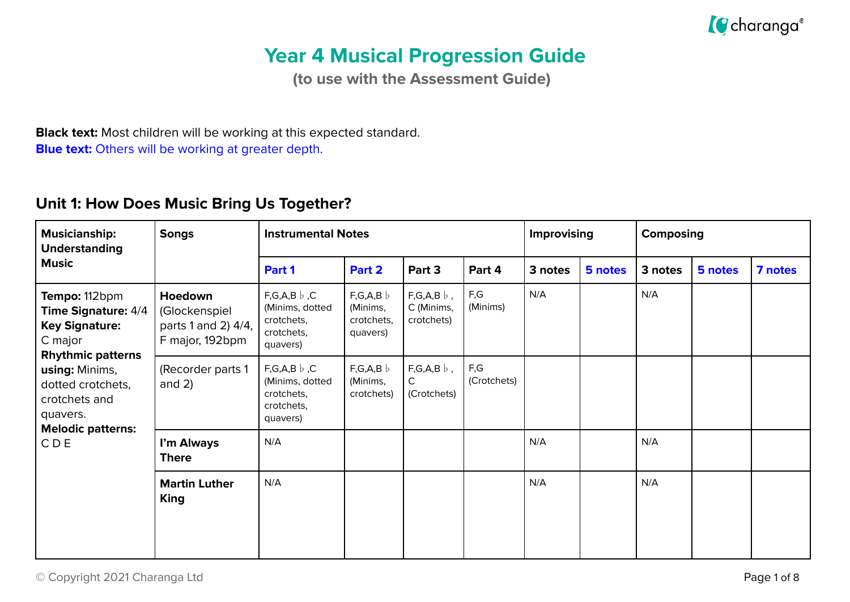

# **Year 4 Musical Progression Guide**

**(to use with the Assessment Guide)**

**Black text:** Most children will be working at this expected standard. **Blue text:** Others will be working at greater depth.

#### **Unit 1: How Does Music Bring Us Together?**

| <b>Musicianship:</b><br><b>Understanding</b>                                                                                                                                    | <b>Songs</b>                                                       | <b>Instrumental Notes</b>                                                        |                                               |                                                 |                    | Improvising |         | Composing |         |         |
|---------------------------------------------------------------------------------------------------------------------------------------------------------------------------------|--------------------------------------------------------------------|----------------------------------------------------------------------------------|-----------------------------------------------|-------------------------------------------------|--------------------|-------------|---------|-----------|---------|---------|
| <b>Music</b>                                                                                                                                                                    |                                                                    | Part 1                                                                           | Part 2                                        | Part 3                                          | Part 4             | 3 notes     | 5 notes | 3 notes   | 5 notes | 7 notes |
| Tempo: 112bpm<br><b>Time Signature: 4/4</b><br><b>Key Signature:</b><br>C major<br><b>Rhythmic patterns</b><br>using: Minims,<br>dotted crotchets,<br>crotchets and<br>quavers. | Hoedown<br>(Glockenspiel<br>parts 1 and 2) 4/4,<br>F major, 192bpm | $F,G,A,B \nvert b, C$<br>(Minims, dotted<br>crotchets,<br>crotchets,<br>quavers) | F,G,A,B<br>(Minims,<br>crotchets,<br>quavers) | $F,G,A,B$ $\flat$ ,<br>C (Minims,<br>crotchets) | F,G<br>(Minims)    | N/A         |         | N/A       |         |         |
|                                                                                                                                                                                 | (Recorder parts 1<br>and $2)$                                      | $F,G,A,B \nvert b, C$<br>(Minims, dotted<br>crotchets,<br>crotchets,<br>quavers) | F,G,A,B<br>(Minims,<br>crotchets)             | $F,G,A,B$ $\flat$ ,<br>C.<br>(Crotchets)        | F,G<br>(Crotchets) |             |         |           |         |         |
| <b>Melodic patterns:</b><br>CDE                                                                                                                                                 | I'm Always<br><b>There</b>                                         | N/A                                                                              |                                               |                                                 |                    | N/A         |         | N/A       |         |         |
|                                                                                                                                                                                 | <b>Martin Luther</b><br><b>King</b>                                | N/A                                                                              |                                               |                                                 |                    | N/A         |         | N/A       |         |         |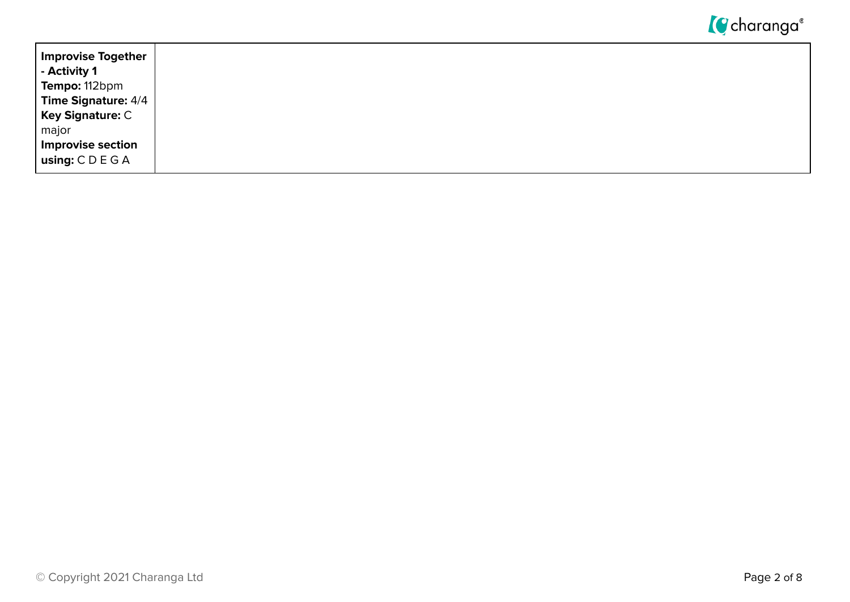

| Improvise Together<br>$\vert$ - Activity 1 |
|--------------------------------------------|
| <b>Tempo:</b> 112bpm                       |
| Time Signature: $4/4$                      |
| Key Signature: C<br>  major                |
| Improvise section                          |
| $ $ using: $C D E G A$                     |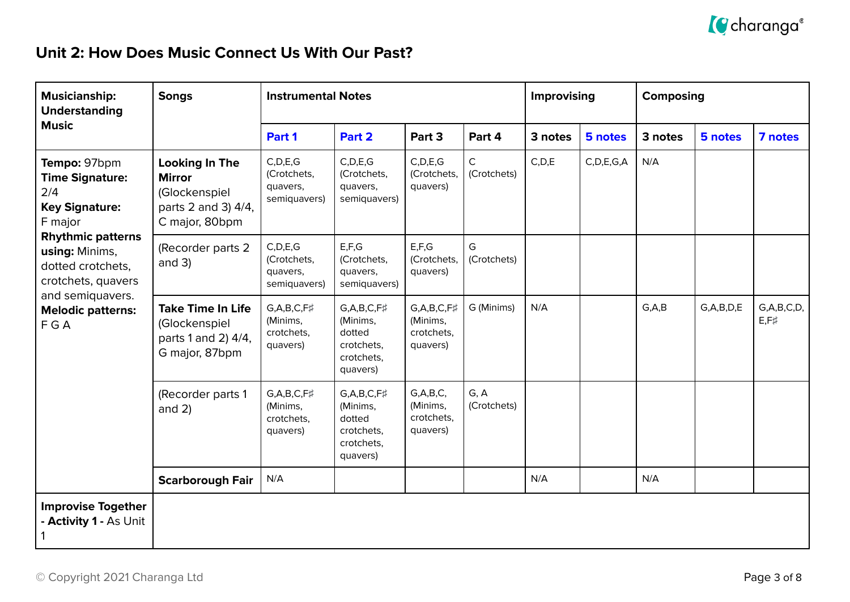

### **Unit 2: How Does Music Connect Us With Our Past?**

| <b>Musicianship:</b><br><b>Understanding</b>                                                                                                                                                                                        | <b>Songs</b>                                                                                     | <b>Instrumental Notes</b>                                   |                                                                                     |                                                             |                            | Improvising |               | Composing |               |                                 |
|-------------------------------------------------------------------------------------------------------------------------------------------------------------------------------------------------------------------------------------|--------------------------------------------------------------------------------------------------|-------------------------------------------------------------|-------------------------------------------------------------------------------------|-------------------------------------------------------------|----------------------------|-------------|---------------|-----------|---------------|---------------------------------|
| <b>Music</b>                                                                                                                                                                                                                        |                                                                                                  | Part 1                                                      | Part 2                                                                              | Part 3                                                      | Part 4                     | 3 notes     | 5 notes       | 3 notes   | 5 notes       | 7 notes                         |
| Tempo: 97bpm<br><b>Time Signature:</b><br>2/4<br><b>Key Signature:</b><br>F major<br><b>Rhythmic patterns</b><br>using: Minims,<br>dotted crotchets,<br>crotchets, quavers<br>and semiquavers.<br><b>Melodic patterns:</b><br>F G A | <b>Looking In The</b><br><b>Mirror</b><br>(Glockenspiel<br>parts 2 and 3) 4/4,<br>C major, 80bpm | C, D, E, G<br>(Crotchets,<br>quavers,<br>semiquavers)       | C, D, E, G<br>(Crotchets,<br>quavers,<br>semiquavers)                               | C, D, E, G<br>(Crotchets,<br>quavers)                       | $\mathsf C$<br>(Crotchets) | C, D, E     | C, D, E, G, A | N/A       |               |                                 |
|                                                                                                                                                                                                                                     | (Recorder parts 2<br>and $3)$                                                                    | C, D, E, G<br>(Crotchets,<br>quavers,<br>semiquavers)       | E, F, G<br>(Crotchets,<br>quavers,<br>semiquavers)                                  | E, F, G<br>(Crotchets,<br>quavers)                          | G<br>(Crotchets)           |             |               |           |               |                                 |
|                                                                                                                                                                                                                                     | <b>Take Time In Life</b><br>(Glockenspiel<br>parts 1 and 2) 4/4,<br>G major, 87bpm               | $G, A, B, C, F\sharp$<br>(Minims,<br>crotchets,<br>quavers) | $G, A, B, C, F\sharp$<br>(Minims,<br>dotted<br>crotchets,<br>crotchets,<br>quavers) | $G, A, B, C, F\sharp$<br>(Minims,<br>crotchets,<br>quavers) | G (Minims)                 | N/A         |               | G, A, B   | G, A, B, D, E | G, A, B, C, D,<br>$E, F \sharp$ |
|                                                                                                                                                                                                                                     | (Recorder parts 1<br>and $2)$                                                                    | $G, A, B, C, F\sharp$<br>(Minims,<br>crotchets,<br>quavers) | $G, A, B, C, F\sharp$<br>(Minims,<br>dotted<br>crotchets,<br>crotchets,<br>quavers) | G, A, B, C,<br>(Minims,<br>crotchets,<br>quavers)           | G, A<br>(Crotchets)        |             |               |           |               |                                 |
|                                                                                                                                                                                                                                     | <b>Scarborough Fair</b>                                                                          | N/A                                                         |                                                                                     |                                                             |                            | N/A         |               | N/A       |               |                                 |
| <b>Improvise Together</b><br>- Activity 1 - As Unit                                                                                                                                                                                 |                                                                                                  |                                                             |                                                                                     |                                                             |                            |             |               |           |               |                                 |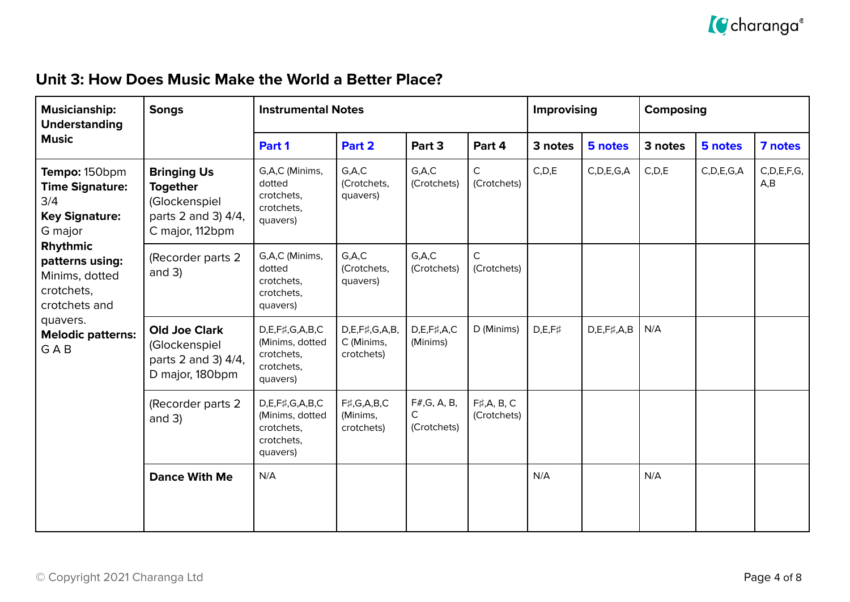

#### **Unit 3: How Does Music Make the World a Better Place?**

| <b>Musicianship:</b><br><b>Understanding</b>                                                                                                                                                                             | <b>Songs</b>                                                                                     | <b>Instrumental Notes</b>                                                        | Improvising                                      |                                  | Composing                          |               |                       |         |               |                       |
|--------------------------------------------------------------------------------------------------------------------------------------------------------------------------------------------------------------------------|--------------------------------------------------------------------------------------------------|----------------------------------------------------------------------------------|--------------------------------------------------|----------------------------------|------------------------------------|---------------|-----------------------|---------|---------------|-----------------------|
| <b>Music</b>                                                                                                                                                                                                             |                                                                                                  | Part 1                                                                           | Part 2                                           | Part 3                           | Part 4                             | 3 notes       | 5 notes               | 3 notes | 5 notes       | 7 notes               |
| Tempo: 150bpm<br><b>Time Signature:</b><br>3/4<br><b>Key Signature:</b><br>G major<br>Rhythmic<br>patterns using:<br>Minims, dotted<br>crotchets,<br>crotchets and<br>quavers.<br><b>Melodic patterns:</b><br><b>GAB</b> | <b>Bringing Us</b><br><b>Together</b><br>(Glockenspiel<br>parts 2 and 3) 4/4,<br>C major, 112bpm | G,A,C (Minims,<br>dotted<br>crotchets,<br>crotchets,<br>quavers)                 | G.A.C<br>(Crotchets,<br>quavers)                 | G.A.C<br>(Crotchets)             | $\mathsf C$<br>(Crotchets)         | C, D, E       | C, D, E, G, A         | C, D, E | C, D, E, G, A | C, D, E, F, G,<br>A,B |
|                                                                                                                                                                                                                          | (Recorder parts 2<br>and $3)$                                                                    | G,A,C (Minims,<br>dotted<br>crotchets,<br>crotchets,<br>quavers)                 | G.A.C<br>(Crotchets,<br>quavers)                 | G.A.C<br>(Crotchets)             | C<br>(Crotchets)                   |               |                       |         |               |                       |
|                                                                                                                                                                                                                          | <b>Old Joe Clark</b><br>(Glockenspiel<br>parts 2 and 3) 4/4,<br>D major, 180bpm                  | $D,E,F\sharp,G,A,B,C$<br>(Minims, dotted<br>crotchets,<br>crotchets,<br>quavers) | $D,E,F\sharp,G,A,B$<br>C (Minims,<br>crotchets)  | $D,E,F\sharp,A,C$<br>(Minims)    | D (Minims)                         | $D,E,F\sharp$ | $D, E, F\sharp, A, B$ | N/A     |               |                       |
|                                                                                                                                                                                                                          | (Recorder parts 2<br>and $3)$                                                                    | $D,E,F\sharp,G,A,B,C$<br>(Minims, dotted<br>crotchets,<br>crotchets,<br>quavers) | $F\sharp$ , G, A, B, C<br>(Minims,<br>crotchets) | F#, G, A, B,<br>C<br>(Crotchets) | $F\sharp$ , A, B, C<br>(Crotchets) |               |                       |         |               |                       |
|                                                                                                                                                                                                                          | <b>Dance With Me</b>                                                                             | N/A                                                                              |                                                  |                                  |                                    | N/A           |                       | N/A     |               |                       |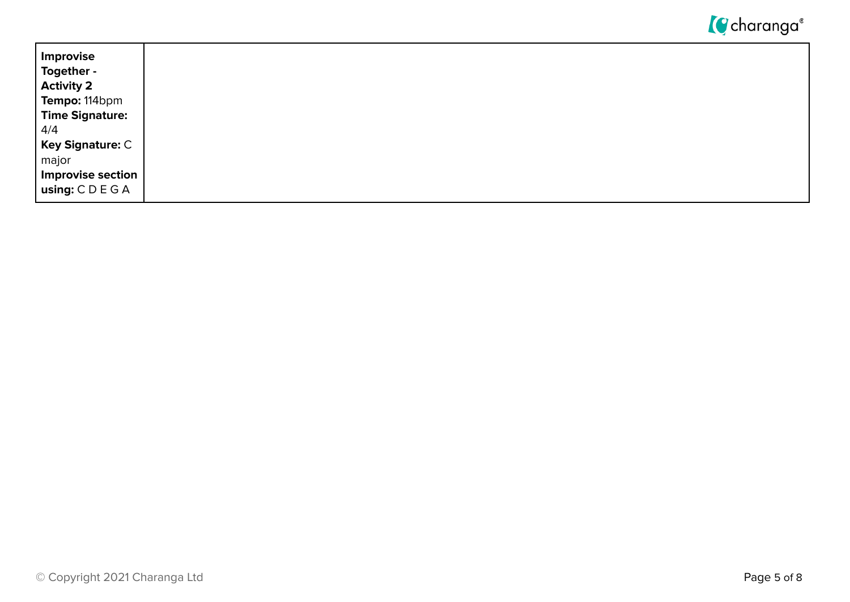

| Improvise                |
|--------------------------|
| Together -               |
| <b>Activity 2</b>        |
| Tempo: 114bpm            |
| <b>Time Signature:</b>   |
| 4/4                      |
| <b>Key Signature: C</b>  |
| major                    |
| <b>Improvise section</b> |
| using: $C D E G A$       |
|                          |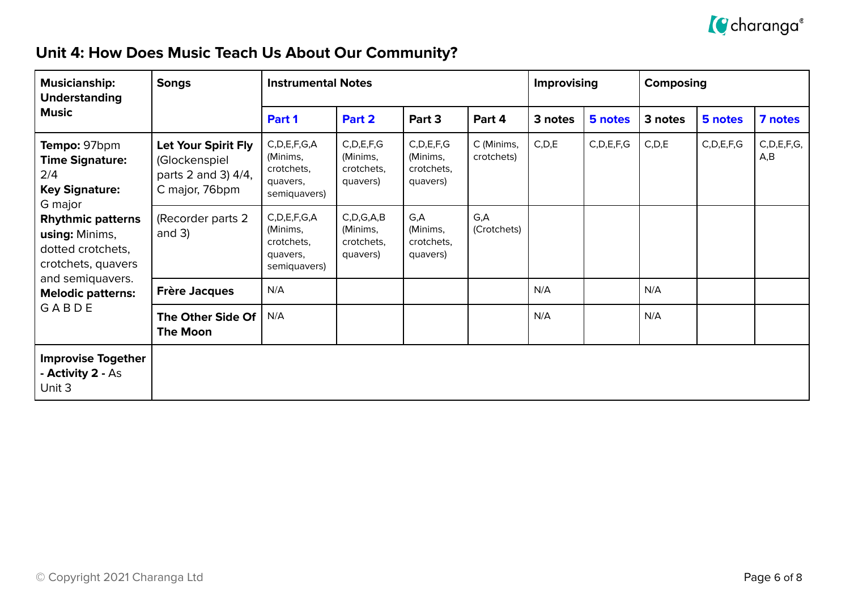

## **Unit 4: How Does Music Teach Us About Our Community?**

| <b>Musicianship:</b><br><b>Understanding</b><br><b>Music</b>                                                                                                               | <b>Songs</b>                                                                  | <b>Instrumental Notes</b>                                              |                                                     |                                                     |                          | <b>Improvising</b> |               | Composing |               |                       |
|----------------------------------------------------------------------------------------------------------------------------------------------------------------------------|-------------------------------------------------------------------------------|------------------------------------------------------------------------|-----------------------------------------------------|-----------------------------------------------------|--------------------------|--------------------|---------------|-----------|---------------|-----------------------|
|                                                                                                                                                                            |                                                                               | Part 1                                                                 | Part 2                                              | Part 3                                              | Part 4                   | 3 notes            | 5 notes       | 3 notes   | 5 notes       | 7 notes               |
| Tempo: 97bpm<br><b>Time Signature:</b><br>2/4<br><b>Key Signature:</b><br>G major<br><b>Rhythmic patterns</b><br>using: Minims,<br>dotted crotchets,<br>crotchets, quavers | Let Your Spirit Fly<br>(Glockenspiel<br>parts 2 and 3) 4/4,<br>C major, 76bpm | C, D, E, F, G, A<br>(Minims,<br>crotchets.<br>quavers,<br>semiquavers) | C, D, E, F, G<br>(Minims,<br>crotchets.<br>quavers) | C, D, E, F, G<br>(Minims,<br>crotchets.<br>quavers) | C (Minims,<br>crotchets) | C, D, E            | C, D, E, F, G | C, D, E   | C, D, E, F, G | C, D, E, F, G,<br>A,B |
|                                                                                                                                                                            | (Recorder parts 2<br>and $3)$                                                 | C, D, E, F, G, A<br>(Minims,<br>crotchets.<br>quavers,<br>semiquavers) | C, D, G, A, B<br>(Minims,<br>crotchets,<br>quavers) | G,A<br>(Minims,<br>crotchets,<br>quavers)           | G,A<br>(Crotchets)       |                    |               |           |               |                       |
| and semiquavers.<br><b>Melodic patterns:</b>                                                                                                                               | <b>Frère Jacques</b>                                                          | N/A                                                                    |                                                     |                                                     |                          | N/A                |               | N/A       |               |                       |
| GABDE                                                                                                                                                                      | The Other Side Of<br><b>The Moon</b>                                          | N/A                                                                    |                                                     |                                                     |                          | N/A                |               | N/A       |               |                       |
| <b>Improvise Together</b><br>- Activity 2 - As<br>Unit 3                                                                                                                   |                                                                               |                                                                        |                                                     |                                                     |                          |                    |               |           |               |                       |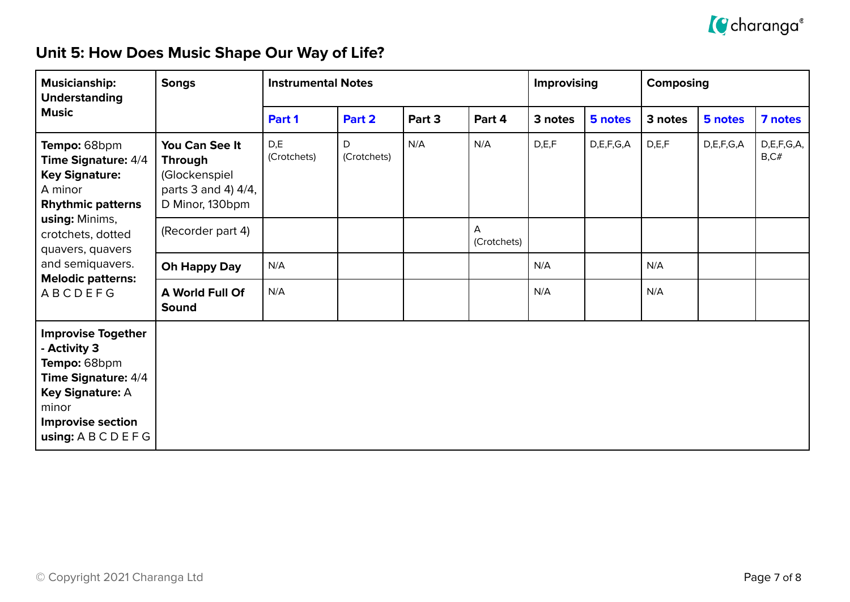

## **Unit 5: How Does Music Shape Our Way of Life?**

| <b>Musicianship:</b><br><b>Understanding</b>                                                                                                                                    | <b>Songs</b>                                                                                | <b>Instrumental Notes</b> |                  |        |                  | Improvising |               | <b>Composing</b> |               |                     |
|---------------------------------------------------------------------------------------------------------------------------------------------------------------------------------|---------------------------------------------------------------------------------------------|---------------------------|------------------|--------|------------------|-------------|---------------|------------------|---------------|---------------------|
| <b>Music</b>                                                                                                                                                                    |                                                                                             | Part 1                    | Part 2           | Part 3 | Part 4           | 3 notes     | 5 notes       | 3 notes          | 5 notes       | 7 notes             |
| Tempo: 68bpm<br><b>Time Signature: 4/4</b><br><b>Key Signature:</b><br>A minor<br><b>Rhythmic patterns</b><br>using: Minims,<br>crotchets, dotted<br>quavers, quavers           | You Can See It<br><b>Through</b><br>(Glockenspiel<br>parts 3 and 4) 4/4,<br>D Minor, 130bpm | D,E<br>(Crotchets)        | D<br>(Crotchets) | N/A    | N/A              | D, E, F     | D, E, F, G, A | D, E, F          | D, E, F, G, A | D,E,F,G,A,<br>B, C# |
|                                                                                                                                                                                 | (Recorder part 4)                                                                           |                           |                  |        | A<br>(Crotchets) |             |               |                  |               |                     |
| and semiquavers.<br><b>Melodic patterns:</b>                                                                                                                                    | Oh Happy Day                                                                                | N/A                       |                  |        |                  | N/A         |               | N/A              |               |                     |
| <b>ABCDEFG</b>                                                                                                                                                                  | <b>A World Full Of</b><br>Sound                                                             | N/A                       |                  |        |                  | N/A         |               | N/A              |               |                     |
| <b>Improvise Together</b><br>- Activity 3<br>Tempo: 68bpm<br><b>Time Signature: 4/4</b><br><b>Key Signature: A</b><br>minor<br><b>Improvise section</b><br>using: A B C D E F G |                                                                                             |                           |                  |        |                  |             |               |                  |               |                     |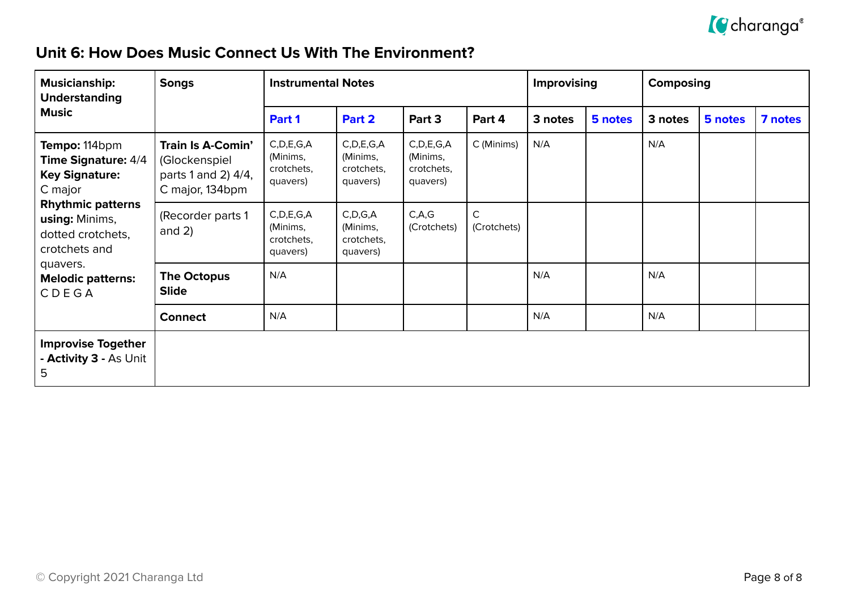

#### **Unit 6: How Does Music Connect Us With The Environment?**

| <b>Musicianship:</b><br><b>Understanding</b><br><b>Music</b>                                                                                                        | <b>Songs</b>                                                                        | <b>Instrumental Notes</b>                           |                                                     |                                                     |                             | <b>Improvising</b> |         | <b>Composing</b> |         |         |
|---------------------------------------------------------------------------------------------------------------------------------------------------------------------|-------------------------------------------------------------------------------------|-----------------------------------------------------|-----------------------------------------------------|-----------------------------------------------------|-----------------------------|--------------------|---------|------------------|---------|---------|
|                                                                                                                                                                     |                                                                                     | Part 1                                              | Part 2                                              | Part 3                                              | Part 4                      | 3 notes            | 5 notes | 3 notes          | 5 notes | 7 notes |
| Tempo: 114bpm<br><b>Time Signature: 4/4</b><br><b>Key Signature:</b><br>C major<br><b>Rhythmic patterns</b><br>using: Minims,<br>dotted crotchets,<br>crotchets and | <b>Train Is A-Comin'</b><br>(Glockenspiel<br>parts 1 and 2) 4/4,<br>C major, 134bpm | C, D, E, G, A<br>(Minims,<br>crotchets,<br>quavers) | C, D, E, G, A<br>(Minims,<br>crotchets.<br>quavers) | C, D, E, G, A<br>(Minims,<br>crotchets,<br>quavers) | C (Minims)                  | N/A                |         | N/A              |         |         |
|                                                                                                                                                                     | (Recorder parts 1<br>and $2)$                                                       | C, D, E, G, A<br>(Minims,<br>crotchets,<br>quavers) | C, D, G, A<br>(Minims,<br>crotchets,<br>quavers)    | C, A, G<br>(Crotchets)                              | $\mathsf{C}$<br>(Crotchets) |                    |         |                  |         |         |
| quavers.<br><b>Melodic patterns:</b><br>CDEGA                                                                                                                       | The Octopus<br><b>Slide</b>                                                         | N/A                                                 |                                                     |                                                     |                             | N/A                |         | N/A              |         |         |
|                                                                                                                                                                     | <b>Connect</b>                                                                      | N/A                                                 |                                                     |                                                     |                             | N/A                |         | N/A              |         |         |
| <b>Improvise Together</b><br>- Activity 3 - As Unit<br>5                                                                                                            |                                                                                     |                                                     |                                                     |                                                     |                             |                    |         |                  |         |         |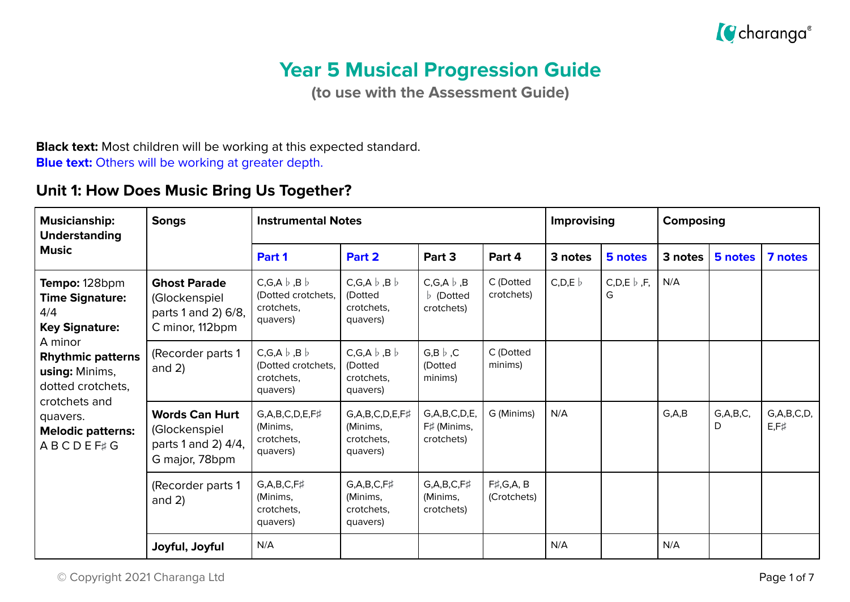

# **Year 5 Musical Progression Guide**

**(to use with the Assessment Guide)**

#### **Black text:** Most children will be working at this expected standard. **Blue text:** Others will be working at greater depth.

## **Unit 1: How Does Music Bring Us Together?**

| <b>Musicianship:</b><br><b>Understanding</b>                                                                                                                                                                                             | <b>Songs</b>                                                                    | <b>Instrumental Notes</b>                                                | <b>Improvising</b>                                                |                                                   | Composing                          |         |                        |         |                  |                                |
|------------------------------------------------------------------------------------------------------------------------------------------------------------------------------------------------------------------------------------------|---------------------------------------------------------------------------------|--------------------------------------------------------------------------|-------------------------------------------------------------------|---------------------------------------------------|------------------------------------|---------|------------------------|---------|------------------|--------------------------------|
| <b>Music</b>                                                                                                                                                                                                                             |                                                                                 | Part 1                                                                   | Part 2                                                            | Part 3                                            | Part 4                             | 3 notes | 5 notes                | 3 notes | 5 notes          | 7 notes                        |
| Tempo: 128bpm<br><b>Time Signature:</b><br>4/4<br><b>Key Signature:</b><br>A minor<br><b>Rhythmic patterns</b><br><b>using:</b> Minims,<br>dotted crotchets,<br>crotchets and<br>quavers.<br><b>Melodic patterns:</b><br><b>ABCDEF#G</b> | <b>Ghost Parade</b><br>(Glockenspiel<br>parts 1 and 2) 6/8,<br>C minor, 112bpm  | $C, G, A \flat, B \flat$<br>(Dotted crotchets,<br>crotchets,<br>quavers) | $C, G, A \flat, B \flat$<br>(Dotted<br>crotchets,<br>quavers)     | C,G,A $\flat$ ,B<br>$\flat$ (Dotted<br>crotchets) | C (Dotted<br>crotchets)            | C, D, E | C,D,E $\flat$ ,F,<br>G | N/A     |                  |                                |
|                                                                                                                                                                                                                                          | (Recorder parts 1<br>and $2)$                                                   | $C, G, A \flat, B \flat$<br>(Dotted crotchets,<br>crotchets.<br>quavers) | $C, G, A \flat, B \flat$<br>(Dotted<br>crotchets.<br>quavers)     | G,B $\flat$ ,C<br>(Dotted<br>minims)              | C (Dotted<br>minims)               |         |                        |         |                  |                                |
|                                                                                                                                                                                                                                          | <b>Words Can Hurt</b><br>(Glockenspiel<br>parts 1 and 2) 4/4,<br>G major, 78bpm | G,A,B,C,D,E,F#<br>(Minims,<br>crotchets,<br>quavers)                     | $G, A, B, C, D, E, F\sharp$<br>(Minims,<br>crotchets.<br>quavers) | G, A, B, C, D, E,<br>F# (Minims,<br>crotchets)    | G (Minims)                         | N/A     |                        | G, A, B | G, A, B, C,<br>D | G, A, B, C, D,<br>$E, F\sharp$ |
|                                                                                                                                                                                                                                          | (Recorder parts 1<br>and $2)$                                                   | $G, A, B, C, F\sharp$<br>(Minims,<br>crotchets,<br>quavers)              | $G, A, B, C, F\sharp$<br>(Minims,<br>crotchets,<br>quavers)       | $G, A, B, C, F\sharp$<br>(Minims,<br>crotchets)   | $F\sharp$ , G, A, B<br>(Crotchets) |         |                        |         |                  |                                |
|                                                                                                                                                                                                                                          | Joyful, Joyful                                                                  | N/A                                                                      |                                                                   |                                                   |                                    | N/A     |                        | N/A     |                  |                                |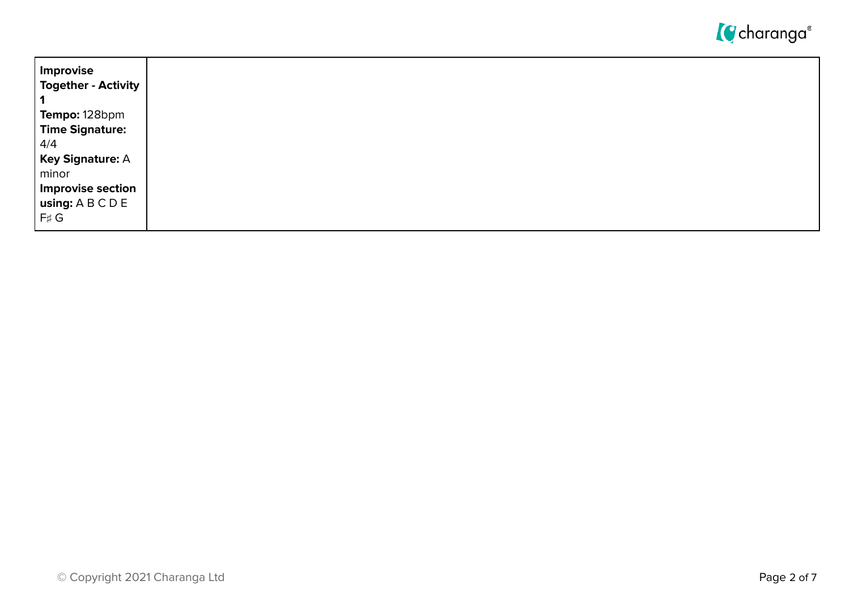

| ' Improvise                                                                  |
|------------------------------------------------------------------------------|
| <b>Together - Activity</b>                                                   |
|                                                                              |
| Tempo: 128bpm                                                                |
| <b>Time Signature:</b>                                                       |
| 4/4                                                                          |
| <b>Key Signature: A</b>                                                      |
| minor                                                                        |
| <b>Improvise section</b>                                                     |
| $\mathsf{I}$ using: $\mathsf{A} \mathsf{B} \mathsf{C} \mathsf{D} \mathsf{E}$ |
| F# G                                                                         |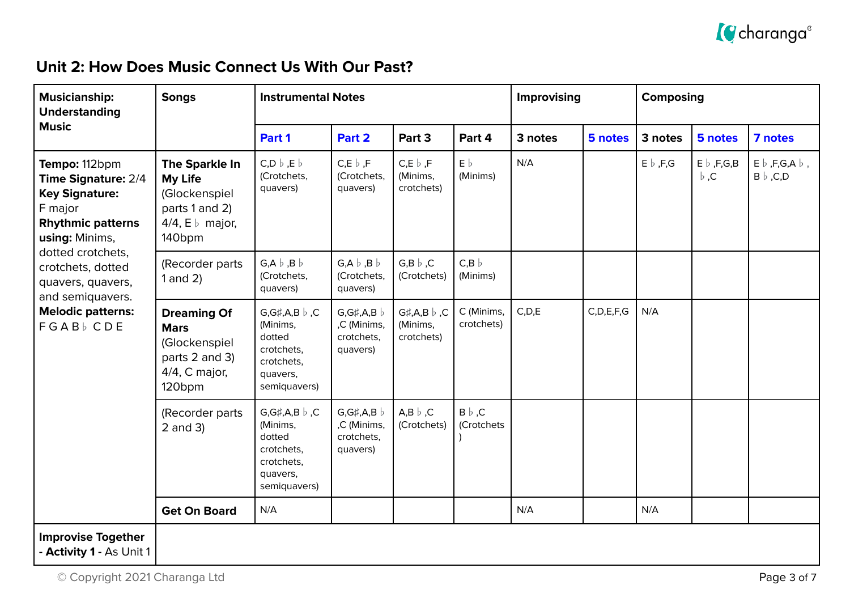

## **Unit 2: How Does Music Connect Us With Our Past?**

| <b>Musicianship:</b><br><b>Understanding</b>                                                                                                                                                                                                       | <b>Songs</b>                                                                                                   | <b>Instrumental Notes</b>                                                                            |                                                          |                                                        |                             | Improvising |               | Composing        |                                    |                                                   |
|----------------------------------------------------------------------------------------------------------------------------------------------------------------------------------------------------------------------------------------------------|----------------------------------------------------------------------------------------------------------------|------------------------------------------------------------------------------------------------------|----------------------------------------------------------|--------------------------------------------------------|-----------------------------|-------------|---------------|------------------|------------------------------------|---------------------------------------------------|
| <b>Music</b>                                                                                                                                                                                                                                       |                                                                                                                | Part 1                                                                                               | Part 2                                                   | Part 3                                                 | Part 4                      | 3 notes     | 5 notes       | 3 notes          | 5 notes                            | 7 notes                                           |
| Tempo: 112bpm<br>Time Signature: 2/4<br><b>Key Signature:</b><br>F major<br><b>Rhythmic patterns</b><br>using: Minims,<br>dotted crotchets,<br>crotchets, dotted<br>quavers, quavers,<br>and semiquavers.<br><b>Melodic patterns:</b><br>FGABb CDE | The Sparkle In<br>My Life<br>(Glockenspiel<br>parts 1 and 2)<br>4/4, $E \, \flat$ major,<br>140 <sub>bpm</sub> | $C, D \mid b, E \mid b$<br>(Crotchets,<br>quavers)                                                   | $C, E \downharpoonright$ , F<br>(Crotchets,<br>quavers)  | $C, E \downharpoonright$ , F<br>(Minims,<br>crotchets) | $E\flat$<br>(Minims)        | N/A         |               | $E \flat$ , F, G | $E \flat$ , F, G, B<br>$\flat$ , C | $E \flat$ , F, G, A $\flat$ ,<br>$B \flat$ , C, D |
|                                                                                                                                                                                                                                                    | (Recorder parts<br>$1$ and $2)$                                                                                | $G, A \flat, B \flat$<br>(Crotchets,<br>quavers)                                                     | $G, A \flat, B \flat$<br>(Crotchets,<br>quavers)         | $G,B \flat, C$<br>(Crotchets)                          | $C,B$ $\flat$<br>(Minims)   |             |               |                  |                                    |                                                   |
|                                                                                                                                                                                                                                                    | <b>Dreaming Of</b><br><b>Mars</b><br>(Glockenspiel<br>parts 2 and 3)<br>4/4, C major,<br>120 <sub>bpm</sub>    | $G,G\sharp,A,B\flat,C$<br>(Minims,<br>dotted<br>crotchets,<br>crotchets,<br>quavers,<br>semiquavers) | $G,G\sharp,A,B$<br>,C (Minims,<br>crotchets,<br>quavers) | $G#$ , A, B $\flat$ , C<br>(Minims,<br>crotchets)      | C (Minims,<br>crotchets)    | C, D, E     | C, D, E, F, G | N/A              |                                    |                                                   |
|                                                                                                                                                                                                                                                    | (Recorder parts<br>$2$ and $3)$                                                                                | $G,G\sharp,A,B\flat,C$<br>(Minims,<br>dotted<br>crotchets,<br>crotchets,<br>quavers,<br>semiquavers) | $G,G\sharp,A,B$<br>,C (Minims,<br>crotchets,<br>quavers) | $A,B \, \flat \,$ ,C<br>(Crotchets)                    | $B \flat$ , C<br>(Crotchets |             |               |                  |                                    |                                                   |
|                                                                                                                                                                                                                                                    | <b>Get On Board</b>                                                                                            | N/A                                                                                                  |                                                          |                                                        |                             | N/A         |               | N/A              |                                    |                                                   |
| <b>Improvise Together</b><br>- Activity 1 - As Unit 1                                                                                                                                                                                              |                                                                                                                |                                                                                                      |                                                          |                                                        |                             |             |               |                  |                                    |                                                   |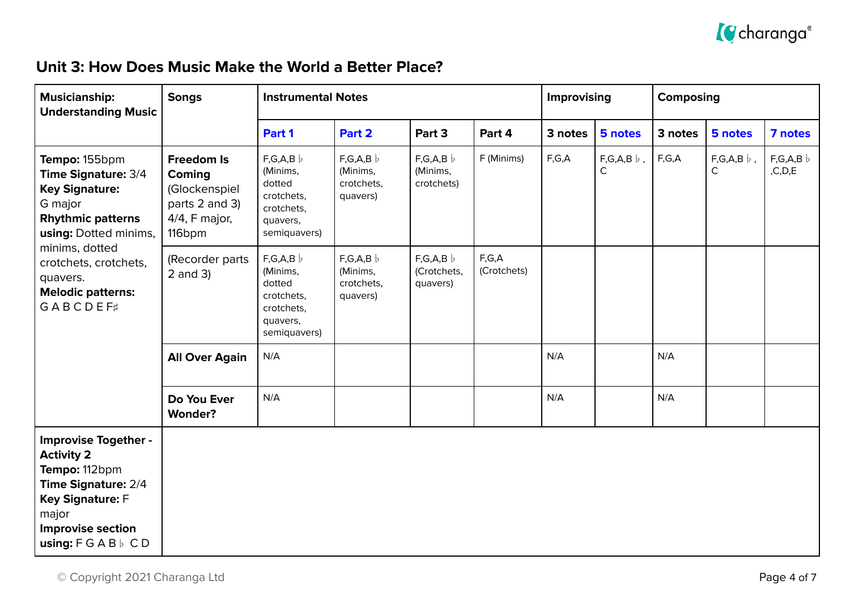

#### **Unit 3: How Does Music Make the World a Better Place?**

| <b>Musicianship:</b><br><b>Understanding Music</b>                                                                                                                                                                                  | <b>Songs</b>                                                                                 | <b>Instrumental Notes</b>                                                             |                                               |                                    |                      | Improvising |                          | Composing |                          |                   |
|-------------------------------------------------------------------------------------------------------------------------------------------------------------------------------------------------------------------------------------|----------------------------------------------------------------------------------------------|---------------------------------------------------------------------------------------|-----------------------------------------------|------------------------------------|----------------------|-------------|--------------------------|-----------|--------------------------|-------------------|
|                                                                                                                                                                                                                                     |                                                                                              | Part 1                                                                                | Part 2                                        | Part 3                             | Part 4               | 3 notes     | 5 notes                  | 3 notes   | 5 notes                  | 7 notes           |
| Tempo: 155bpm<br>Time Signature: 3/4<br><b>Key Signature:</b><br>G major<br><b>Rhythmic patterns</b><br>using: Dotted minims,<br>minims, dotted<br>crotchets, crotchets,<br>quavers.<br><b>Melodic patterns:</b><br><b>GABCDEF#</b> | <b>Freedom Is</b><br>Coming<br>(Glockenspiel<br>parts 2 and 3)<br>$4/4$ , F major,<br>116bpm | F,G,A,B<br>(Minims,<br>dotted<br>crotchets,<br>crotchets,<br>quavers,<br>semiquavers) | F,G,A,B<br>(Minims,<br>crotchets,<br>quavers) | F,G,A,B<br>(Minims,<br>crotchets)  | F (Minims)           | F,G,A       | $F,G,A,B$ $\flat$ ,<br>C | F,G,A     | $F,G,A,B$ $\flat$ ,<br>C | F,G,A,B<br>,C,D,E |
|                                                                                                                                                                                                                                     | (Recorder parts<br>$2$ and $3)$                                                              | F,G,A,B<br>(Minims,<br>dotted<br>crotchets,<br>crotchets,<br>quavers,<br>semiquavers) | F,G,A,B<br>(Minims,<br>crotchets,<br>quavers) | F,G,A,B<br>(Crotchets,<br>quavers) | F,G,A<br>(Crotchets) |             |                          |           |                          |                   |
|                                                                                                                                                                                                                                     | <b>All Over Again</b>                                                                        | N/A                                                                                   |                                               |                                    |                      | N/A         |                          | N/A       |                          |                   |
|                                                                                                                                                                                                                                     | Do You Ever<br><b>Wonder?</b>                                                                | N/A                                                                                   |                                               |                                    |                      | N/A         |                          | N/A       |                          |                   |
| <b>Improvise Together -</b><br><b>Activity 2</b><br>Tempo: 112bpm<br>Time Signature: 2/4<br>Key Signature: F<br>major<br><b>Improvise section</b><br>using: $F G A B \vdash C D$                                                    |                                                                                              |                                                                                       |                                               |                                    |                      |             |                          |           |                          |                   |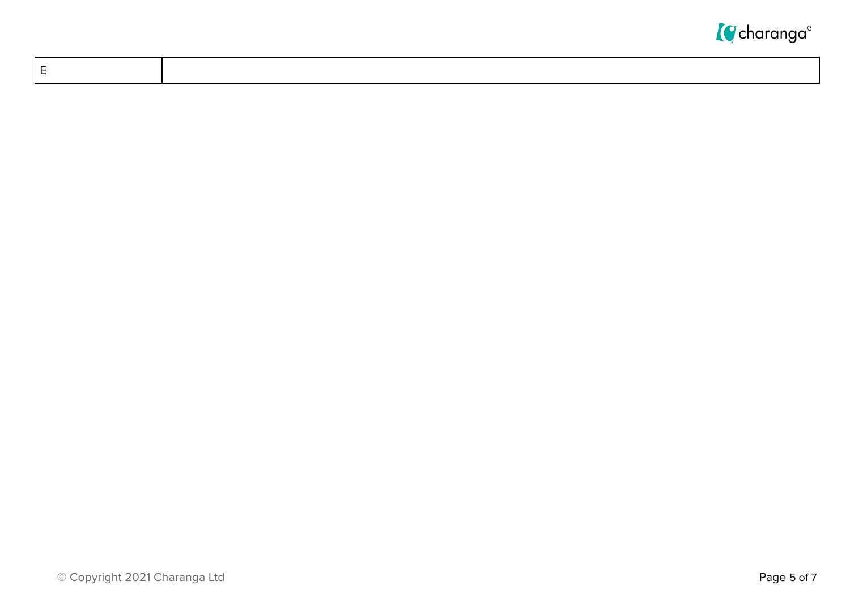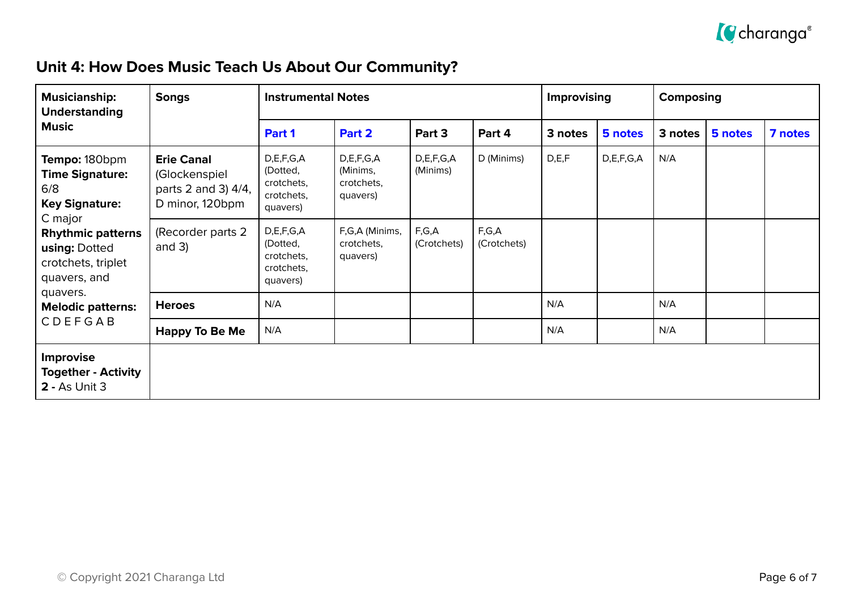

## **Unit 4: How Does Music Teach Us About Our Community?**

| <b>Musicianship:</b><br><b>Understanding</b>                                               | <b>Songs</b>                                                                 | <b>Instrumental Notes</b>                                     |                                                 |                       |                      | Improvising |               | Composing |         |         |
|--------------------------------------------------------------------------------------------|------------------------------------------------------------------------------|---------------------------------------------------------------|-------------------------------------------------|-----------------------|----------------------|-------------|---------------|-----------|---------|---------|
| <b>Music</b>                                                                               |                                                                              | Part 1                                                        | Part 2                                          | Part 3                | Part 4               | 3 notes     | 5 notes       | 3 notes   | 5 notes | 7 notes |
| Tempo: 180bpm<br><b>Time Signature:</b><br>6/8<br><b>Key Signature:</b>                    | <b>Erie Canal</b><br>(Glockenspiel<br>parts 2 and 3) 4/4,<br>D minor, 120bpm | D,E,F,G,A<br>(Dotted,<br>crotchets,<br>crotchets,<br>quavers) | D,E,F,G,A<br>(Minims,<br>crotchets,<br>quavers) | D,E,F,G,A<br>(Minims) | D (Minims)           | D, E, F     | D, E, F, G, A | N/A       |         |         |
| C major<br><b>Rhythmic patterns</b><br>using: Dotted<br>crotchets, triplet<br>quavers, and | (Recorder parts 2)<br>and $3)$                                               | D,E,F,G,A<br>(Dotted,<br>crotchets,<br>crotchets,<br>quavers) | F,G,A (Minims,<br>crotchets,<br>quavers)        | F,G,A<br>(Crotchets)  | F,G,A<br>(Crotchets) |             |               |           |         |         |
| quavers.<br><b>Melodic patterns:</b>                                                       | <b>Heroes</b>                                                                | N/A                                                           |                                                 |                       |                      | N/A         |               | N/A       |         |         |
| CDEFGAB                                                                                    | <b>Happy To Be Me</b>                                                        | N/A                                                           |                                                 |                       |                      | N/A         |               | N/A       |         |         |
| <b>Improvise</b><br><b>Together - Activity</b><br><b>2 - As Unit 3</b>                     |                                                                              |                                                               |                                                 |                       |                      |             |               |           |         |         |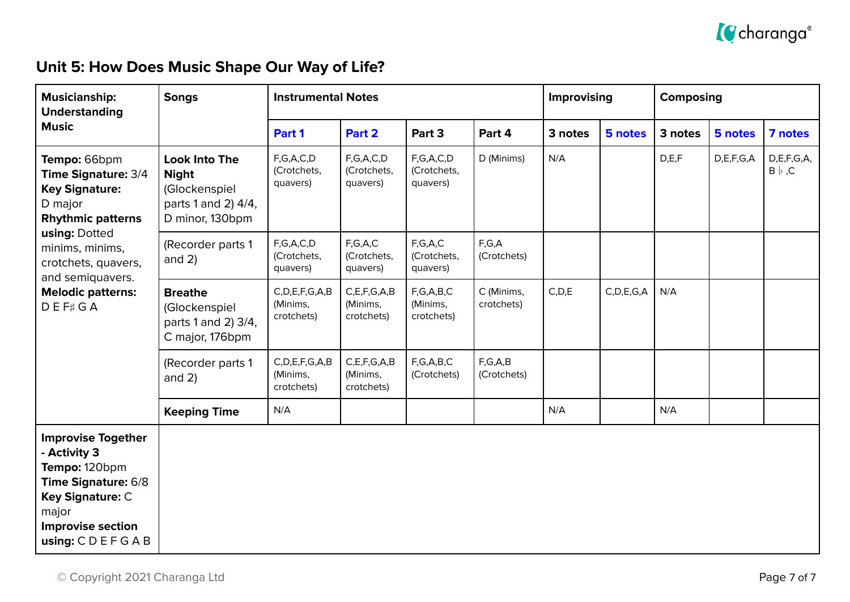

## **Unit 5: How Does Music Shape Our Way of Life?**

| <b>Musicianship:</b><br><b>Understanding</b>                                                                                                                                                                                         | <b>Songs</b>                                                                                    | <b>Instrumental Notes</b>                     |                                            |                                         |                           | Improvising |               | <b>Composing</b> |               |                                 |
|--------------------------------------------------------------------------------------------------------------------------------------------------------------------------------------------------------------------------------------|-------------------------------------------------------------------------------------------------|-----------------------------------------------|--------------------------------------------|-----------------------------------------|---------------------------|-------------|---------------|------------------|---------------|---------------------------------|
| <b>Music</b>                                                                                                                                                                                                                         |                                                                                                 | Part 1                                        | Part 2                                     | Part 3                                  | Part 4                    | 3 notes     | 5 notes       | 3 notes          | 5 notes       | 7 notes                         |
| Tempo: 66bpm<br>Time Signature: 3/4<br><b>Key Signature:</b><br>D major<br><b>Rhythmic patterns</b><br>using: Dotted<br>minims, minims,<br>crotchets, quavers,<br>and semiquavers.<br><b>Melodic patterns:</b><br>$D E F \sharp G A$ | <b>Look Into The</b><br><b>Night</b><br>(Glockenspiel<br>parts 1 and 2) 4/4,<br>D minor, 130bpm | F,G,A,C,D<br>(Crotchets,<br>quavers)          | F,G,A,C,D<br>(Crotchets,<br>quavers)       | F,G,A,C,D<br>(Crotchets,<br>quavers)    | D (Minims)                | N/A         |               | D, E, F          | D, E, F, G, A | D, E, F, G, A,<br>$B \flat$ , C |
|                                                                                                                                                                                                                                      | (Recorder parts 1<br>and $2)$                                                                   | F,G,A,C,D<br>(Crotchets,<br>quavers)          | F,G,A,C<br>(Crotchets,<br>quavers)         | F,G,A,C<br>(Crotchets,<br>quavers)      | F,G,A<br>(Crotchets)      |             |               |                  |               |                                 |
|                                                                                                                                                                                                                                      | <b>Breathe</b><br>(Glockenspiel<br>parts 1 and 2) 3/4,<br>C major, 176bpm                       | C, D, E, F, G, A, B<br>(Minims,<br>crotchets) | C, E, F, G, A, B<br>(Minims,<br>crotchets) | F, G, A, B, C<br>(Minims,<br>crotchets) | C (Minims,<br>crotchets)  | C, D, E     | C, D, E, G, A | N/A              |               |                                 |
|                                                                                                                                                                                                                                      | (Recorder parts 1<br>and $2)$                                                                   | C, D, E, F, G, A, B<br>(Minims,<br>crotchets) | C, E, F, G, A, B<br>(Minims,<br>crotchets) | F,G,A,B,C<br>(Crotchets)                | F, G, A, B<br>(Crotchets) |             |               |                  |               |                                 |
|                                                                                                                                                                                                                                      | <b>Keeping Time</b>                                                                             | N/A                                           |                                            |                                         |                           | N/A         |               | N/A              |               |                                 |
| <b>Improvise Together</b><br>- Activity 3<br>Tempo: 120bpm<br>Time Signature: 6/8<br>Key Signature: C<br>major<br><b>Improvise section</b><br>using: $C$ $D$ $E$ $F$ $G$ $A$ $B$                                                     |                                                                                                 |                                               |                                            |                                         |                           |             |               |                  |               |                                 |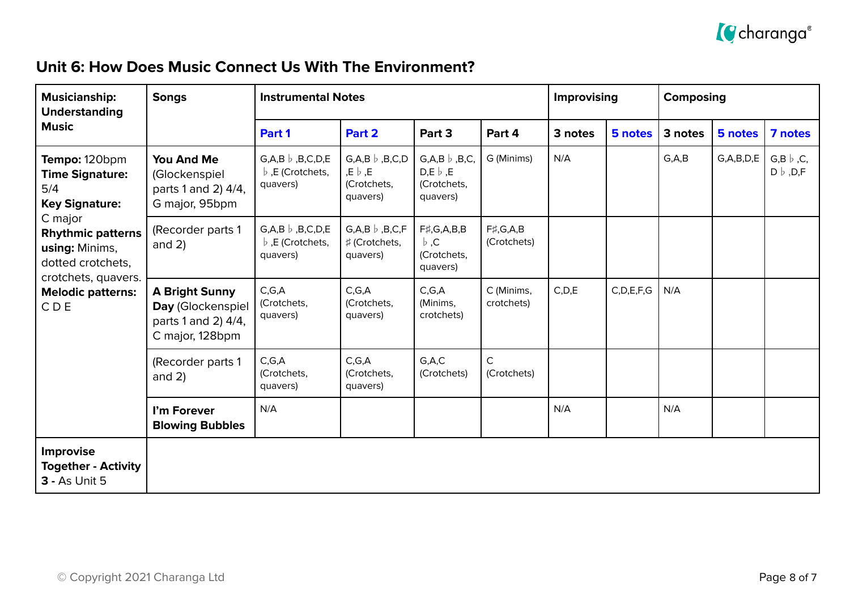

#### **Unit 6: How Does Music Connect Us With The Environment?**

| <b>Musicianship:</b><br><b>Understanding</b>                                                                                                                                                                    | <b>Songs</b>                                                                         | <b>Instrumental Notes</b>                                             |                                                                                 |                                                                       |                                    | <b>Improvising</b> |               | <b>Composing</b> |               |                                    |
|-----------------------------------------------------------------------------------------------------------------------------------------------------------------------------------------------------------------|--------------------------------------------------------------------------------------|-----------------------------------------------------------------------|---------------------------------------------------------------------------------|-----------------------------------------------------------------------|------------------------------------|--------------------|---------------|------------------|---------------|------------------------------------|
| <b>Music</b>                                                                                                                                                                                                    |                                                                                      | Part 1                                                                | Part 2                                                                          | Part 3                                                                | Part 4                             | 3 notes            | 5 notes       | 3 notes          | 5 notes       | 7 notes                            |
| Tempo: 120bpm<br><b>Time Signature:</b><br>5/4<br><b>Key Signature:</b><br>C major<br><b>Rhythmic patterns</b><br>using: Minims,<br>dotted crotchets,<br>crotchets, quavers.<br><b>Melodic patterns:</b><br>CDE | You And Me<br>(Glockenspiel<br>parts 1 and 2) 4/4,<br>G major, 95bpm                 | $G, A, B \, \flat \,$ , B, C, D, E<br>b, E (Crotchets,<br>quavers)    | $G, A, B \, \flat \, , B, C, D$<br>, $E \flat$ , $E$<br>(Crotchets,<br>quavers) | $G, A, B \mid B, C$<br>$D,E \, \flat \, E$<br>(Crotchets,<br>quavers) | G (Minims)                         | N/A                |               | G.A.B            | G, A, B, D, E | $G,B \flat, C,$<br>$D \flat$ , D,F |
|                                                                                                                                                                                                                 | (Recorder parts 1<br>and $2)$                                                        | $G, A, B \; b \;$ , B, C, D, E<br>$\flat$ , E (Crotchets,<br>quavers) | $G, A, B \, \flat \, , B, C, F$<br># (Crotchets,<br>quavers)                    | $F\sharp$ , G, A, B, B<br>$\flat$ .C<br>(Crotchets,<br>quavers)       | $F\sharp$ , G, A, B<br>(Crotchets) |                    |               |                  |               |                                    |
|                                                                                                                                                                                                                 | <b>A Bright Sunny</b><br>Day (Glockenspiel<br>parts 1 and 2) 4/4,<br>C major, 128bpm | C, G, A<br>(Crotchets,<br>quavers)                                    | C, G, A<br>(Crotchets,<br>quavers)                                              | C, G, A<br>(Minims,<br>crotchets)                                     | C (Minims,<br>crotchets)           | C, D, E            | C, D, E, F, G | N/A              |               |                                    |
|                                                                                                                                                                                                                 | (Recorder parts 1<br>and $2)$                                                        | C, G, A<br>(Crotchets,<br>quavers)                                    | C, G, A<br>(Crotchets,<br>quavers)                                              | G.A.C<br>(Crotchets)                                                  | $\mathsf{C}$<br>(Crotchets)        |                    |               |                  |               |                                    |
|                                                                                                                                                                                                                 | I'm Forever<br><b>Blowing Bubbles</b>                                                | N/A                                                                   |                                                                                 |                                                                       |                                    | N/A                |               | N/A              |               |                                    |
| <b>Improvise</b><br><b>Together - Activity</b><br><b>3 - As Unit 5</b>                                                                                                                                          |                                                                                      |                                                                       |                                                                                 |                                                                       |                                    |                    |               |                  |               |                                    |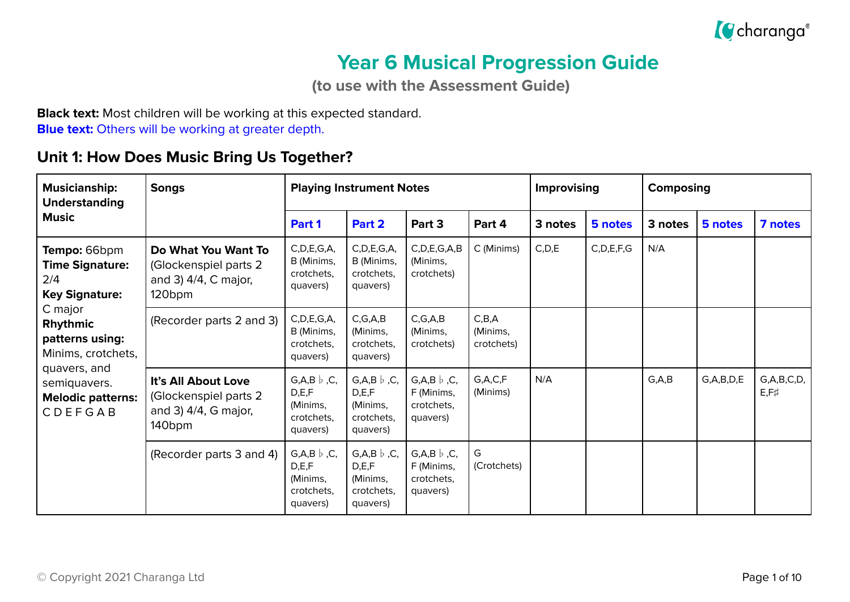

## **Year 6 Musical Progression Guide**

**(to use with the Assessment Guide)**

**Black text:** Most children will be working at this expected standard. **Blue text:** Others will be working at greater depth.

#### **Unit 1: How Does Music Bring Us Together?**

| <b>Musicianship:</b><br><b>Understanding</b>                                                                                                                                                                         | <b>Songs</b>                                                                                  | <b>Playing Instrument Notes</b>                                           |                                                                             |                                                                    |                                 | Improvising |               | Composing |               |                                 |
|----------------------------------------------------------------------------------------------------------------------------------------------------------------------------------------------------------------------|-----------------------------------------------------------------------------------------------|---------------------------------------------------------------------------|-----------------------------------------------------------------------------|--------------------------------------------------------------------|---------------------------------|-------------|---------------|-----------|---------------|---------------------------------|
| <b>Music</b>                                                                                                                                                                                                         |                                                                                               | Part 1                                                                    | Part 2                                                                      | Part 3                                                             | Part 4                          | 3 notes     | 5 notes       | 3 notes   | 5 notes       | 7 notes                         |
| Tempo: 66bpm<br><b>Time Signature:</b><br>2/4<br><b>Key Signature:</b><br>C major<br>Rhythmic<br>patterns using:<br>Minims, crotchets,<br>quavers, and<br>semiquavers.<br><b>Melodic patterns:</b><br><b>CDEFGAB</b> | Do What You Want To<br>(Glockenspiel parts 2)<br>and 3) 4/4, C major,<br>120 <sub>bpm</sub>   | C, D, E, G, A,<br>B (Minims,<br>crotchets,<br>quavers)                    | C, D, E, G, A,<br>B (Minims,<br>crotchets,<br>quavers)                      | C, D, E, G, A, B<br>(Minims,<br>crotchets)                         | C (Minims)                      | C, D, E     | C, D, E, F, G | N/A       |               |                                 |
|                                                                                                                                                                                                                      | (Recorder parts 2 and 3)                                                                      | C, D, E, G, A,<br>B (Minims,<br>crotchets.<br>quavers)                    | C, G, A, B<br>(Minims,<br>crotchets.<br>quavers)                            | C, G, A, B<br>(Minims,<br>crotchets)                               | C,B,A<br>(Minims,<br>crotchets) |             |               |           |               |                                 |
|                                                                                                                                                                                                                      | It's All About Love<br>(Glockenspiel parts 2<br>and 3) $4/4$ , G major,<br>140 <sub>bpm</sub> | $G, A, B \, \flat \, C,$<br>D,E,F<br>(Minims,<br>crotchets,<br>quavers)   | $G, A, B \, \flat \, C,$<br>D, E, F<br>(Minims,<br>crotchets,<br>quavers)   | $G, A, B \, \flat, C,$<br>F (Minims,<br>crotchets,<br>quavers)     | G, A, C, F<br>(Minims)          | N/A         |               | G, A, B   | G, A, B, D, E | G, A, B, C, D,<br>$E, F \sharp$ |
|                                                                                                                                                                                                                      | (Recorder parts 3 and 4)                                                                      | $G, A, B \, \flat \, , C,$<br>D,E,F<br>(Minims,<br>crotchets.<br>quavers) | $G, A, B \, \flat \,$ , C,<br>D, E, F<br>(Minims,<br>crotchets.<br>quavers) | $G, A, B \, \flat \, , C,$<br>F (Minims,<br>crotchets,<br>quavers) | G<br>(Crotchets)                |             |               |           |               |                                 |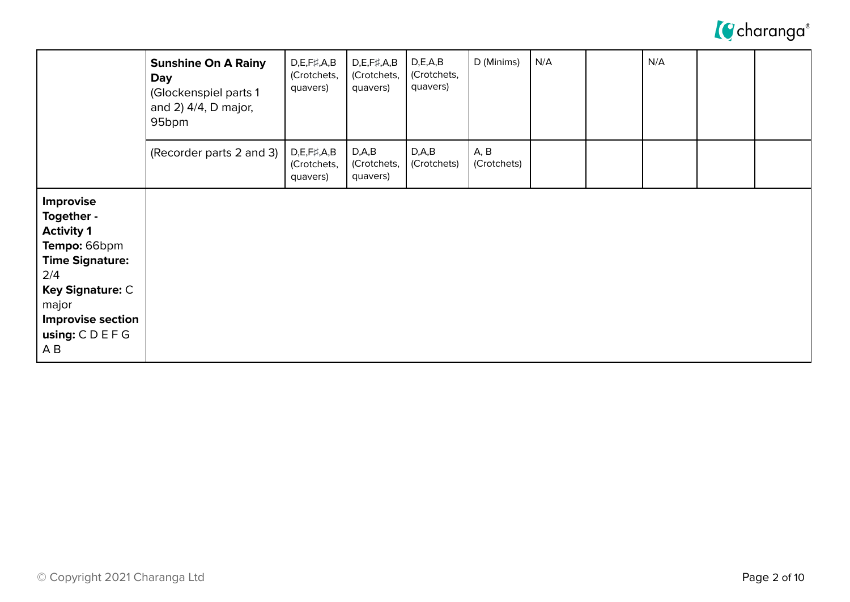

|                                                                                                                                                                                      | <b>Sunshine On A Rainy</b><br><b>Day</b><br>(Glockenspiel parts 1<br>and 2) 4/4, D major,<br>95bpm | $D,E,F\sharp,A,B$<br>(Crotchets,<br>quavers) | $D, E, F\sharp, A, B$<br>(Crotchets,<br>quavers) | D, E, A, B<br>(Crotchets,<br>quavers) | D (Minims)          | N/A | N/A |  |
|--------------------------------------------------------------------------------------------------------------------------------------------------------------------------------------|----------------------------------------------------------------------------------------------------|----------------------------------------------|--------------------------------------------------|---------------------------------------|---------------------|-----|-----|--|
|                                                                                                                                                                                      | (Recorder parts 2 and 3)                                                                           | $D,E,F\sharp,A,B$<br>(Crotchets,<br>quavers) | D, A, B<br>(Crotchets,<br>quavers)               | D, A, B<br>(Crotchets)                | A, B<br>(Crotchets) |     |     |  |
| <b>Improvise</b><br>Together -<br><b>Activity 1</b><br>Tempo: 66bpm<br><b>Time Signature:</b><br>2/4<br>Key Signature: C<br>major<br><b>Improvise section</b><br>using: CDEFG<br>A B |                                                                                                    |                                              |                                                  |                                       |                     |     |     |  |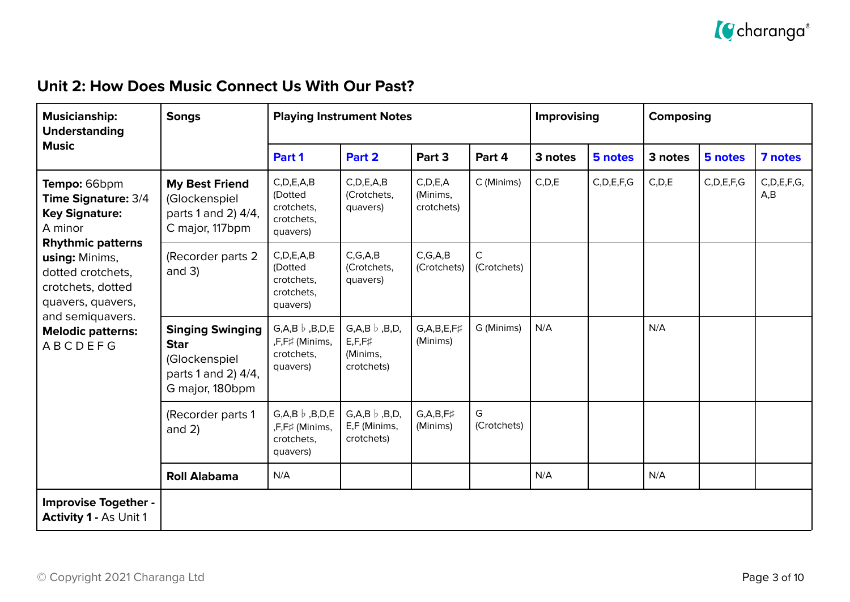

## **Unit 2: How Does Music Connect Us With Our Past?**

| <b>Musicianship:</b><br><b>Understanding</b>                                                                                                                                                | <b>Songs</b>                                                                                      | <b>Playing Instrument Notes</b>                                         |                                                                             |                                      |                             | Improvising |               | Composing |               |                       |
|---------------------------------------------------------------------------------------------------------------------------------------------------------------------------------------------|---------------------------------------------------------------------------------------------------|-------------------------------------------------------------------------|-----------------------------------------------------------------------------|--------------------------------------|-----------------------------|-------------|---------------|-----------|---------------|-----------------------|
| <b>Music</b>                                                                                                                                                                                |                                                                                                   | Part 1                                                                  | Part 2                                                                      | Part 3                               | Part 4                      | 3 notes     | 5 notes       | 3 notes   | 5 notes       | 7 notes               |
| Tempo: 66bpm<br><b>Time Signature: 3/4</b><br><b>Key Signature:</b><br>A minor<br><b>Rhythmic patterns</b><br>using: Minims,<br>dotted crotchets,<br>crotchets, dotted<br>quavers, quavers, | <b>My Best Friend</b><br>(Glockenspiel<br>parts 1 and 2) 4/4,<br>C major, 117bpm                  | C, D, E, A, B<br>(Dotted<br>crotchets,<br>crotchets,<br>quavers)        | C, D, E, A, B<br>(Crotchets,<br>quavers)                                    | C, D, E, A<br>(Minims,<br>crotchets) | C (Minims)                  | C, D, E     | C, D, E, F, G | C, D, E   | C, D, E, F, G | C, D, E, F, G,<br>A,B |
|                                                                                                                                                                                             | (Recorder parts 2<br>and $3)$                                                                     | C, D, E, A, B<br>(Dotted<br>crotchets,<br>crotchets,<br>quavers)        | C, G, A, B<br>(Crotchets,<br>quavers)                                       | C, G, A, B<br>(Crotchets)            | $\mathsf{C}$<br>(Crotchets) |             |               |           |               |                       |
| and semiquavers.<br><b>Melodic patterns:</b><br><b>ABCDEFG</b>                                                                                                                              | <b>Singing Swinging</b><br><b>Star</b><br>(Glockenspiel<br>parts 1 and 2) 4/4,<br>G major, 180bpm | $G, A, B \; b \;$ , B, D, E<br>,F,F# (Minims,<br>crotchets,<br>quavers) | $G, A, B \, \flat \, , B, D,$<br>$E, F, F \sharp$<br>(Minims,<br>crotchets) | $G, A, B, E, F\sharp$<br>(Minims)    | G (Minims)                  | N/A         |               | N/A       |               |                       |
|                                                                                                                                                                                             | (Recorder parts 1<br>and $2)$                                                                     | $G, A, B \; b \;$ , B, D, E<br>,F,F# (Minims,<br>crotchets,<br>quavers) | $G, A, B \, \flat \, , B, D,$<br>E,F (Minims,<br>crotchets)                 | $G, A, B, F\sharp$<br>(Minims)       | G<br>(Crotchets)            |             |               |           |               |                       |
|                                                                                                                                                                                             | <b>Roll Alabama</b>                                                                               | N/A                                                                     |                                                                             |                                      |                             | N/A         |               | N/A       |               |                       |
| <b>Improvise Together -</b><br><b>Activity 1 - As Unit 1</b>                                                                                                                                |                                                                                                   |                                                                         |                                                                             |                                      |                             |             |               |           |               |                       |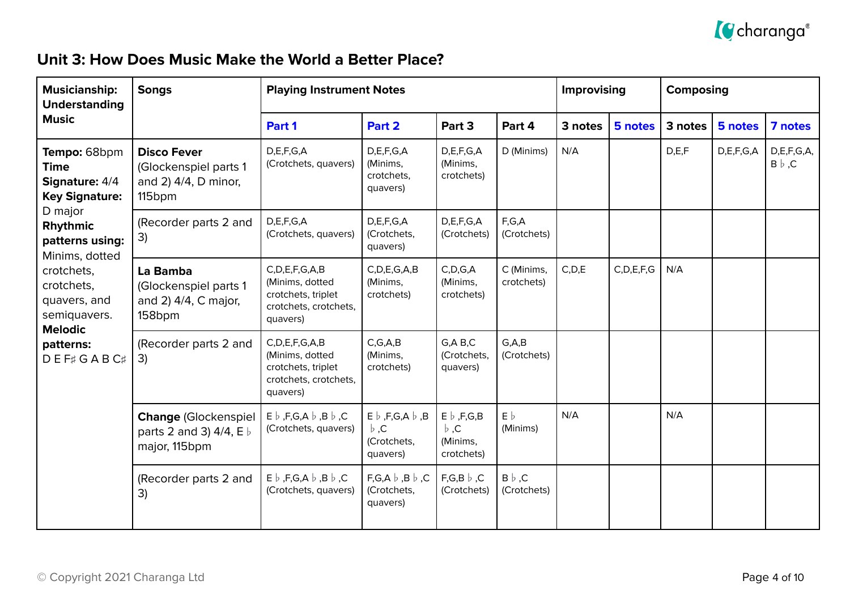

#### **Unit 3: How Does Music Make the World a Better Place?**

| <b>Musicianship:</b><br><b>Understanding</b>                                                                                                                                                                                                      | <b>Songs</b>                                                                              | <b>Playing Instrument Notes</b>                                                                   |                                                                           |                                                              |                              | Improvising |               | <b>Composing</b> |               |                                 |
|---------------------------------------------------------------------------------------------------------------------------------------------------------------------------------------------------------------------------------------------------|-------------------------------------------------------------------------------------------|---------------------------------------------------------------------------------------------------|---------------------------------------------------------------------------|--------------------------------------------------------------|------------------------------|-------------|---------------|------------------|---------------|---------------------------------|
| <b>Music</b>                                                                                                                                                                                                                                      |                                                                                           | Part 1                                                                                            | Part 2                                                                    | Part 3                                                       | Part 4                       | 3 notes     | 5 notes       | 3 notes          | 5 notes       | 7 notes                         |
| Tempo: 68bpm<br><b>Time</b><br>Signature: 4/4<br><b>Key Signature:</b><br>D major<br>Rhythmic<br>patterns using:<br>Minims, dotted<br>crotchets,<br>crotchets,<br>quavers, and<br>semiquavers.<br><b>Melodic</b><br>patterns:<br><b>DEF#GABC#</b> | <b>Disco Fever</b><br>(Glockenspiel parts 1<br>and 2) 4/4, D minor,<br>115 <sub>bpm</sub> | D,E,F,G,A<br>(Crotchets, quavers)                                                                 | D, E, F, G, A<br>(Minims,<br>crotchets,<br>quavers)                       | D, E, F, G, A<br>(Minims,<br>crotchets)                      | D (Minims)                   | N/A         |               | D,E,F            | D, E, F, G, A | D, E, F, G, A,<br>$B \flat$ , C |
|                                                                                                                                                                                                                                                   | (Recorder parts 2 and<br>3)                                                               | D,E,F,G,A<br>(Crotchets, quavers)                                                                 | D,E,F,G,A<br>(Crotchets,<br>quavers)                                      | D,E,F,G,A<br>(Crotchets)                                     | F,G,A<br>(Crotchets)         |             |               |                  |               |                                 |
|                                                                                                                                                                                                                                                   | La Bamba<br>(Glockenspiel parts 1<br>and 2) 4/4, C major,<br>158bpm                       | C, D, E, F, G, A, B<br>(Minims, dotted<br>crotchets, triplet<br>crotchets, crotchets,<br>quavers) | C, D, E, G, A, B<br>(Minims,<br>crotchets)                                | C, D, G, A<br>(Minims,<br>crotchets)                         | C (Minims,<br>crotchets)     | C, D, E     | C, D, E, F, G | N/A              |               |                                 |
|                                                                                                                                                                                                                                                   | (Recorder parts 2 and<br>3)                                                               | C, D, E, F, G, A, B<br>(Minims, dotted<br>crotchets, triplet<br>crotchets, crotchets,<br>quavers) | C, G, A, B<br>(Minims,<br>crotchets)                                      | G, A, B, C<br>(Crotchets,<br>quavers)                        | G.A.B<br>(Crotchets)         |             |               |                  |               |                                 |
|                                                                                                                                                                                                                                                   | <b>Change (Glockenspiel</b><br>parts 2 and 3) $4/4$ , E $\flat$<br>major, 115bpm          | $E \flat$ , F,G,A $\flat$ ,B $\flat$ ,C<br>(Crotchets, quavers)                                   | $E \flat$ , F, G, A $\flat$ , B<br>$\flat$ , C<br>(Crotchets,<br>quavers) | $E \flat$ , F, G, B<br>$\flat$ , C<br>(Minims,<br>crotchets) | $E\flat$<br>(Minims)         | N/A         |               | N/A              |               |                                 |
|                                                                                                                                                                                                                                                   | (Recorder parts 2 and<br>3)                                                               | $E \flat$ , F,G,A $\flat$ ,B $\flat$ ,C<br>(Crotchets, quavers)                                   | $F,G,A \; b \; ,B \; b \; ,C$<br>(Crotchets,<br>quavers)                  | $F,G,B \nvert b, C$<br>(Crotchets)                           | $B \flat$ , C<br>(Crotchets) |             |               |                  |               |                                 |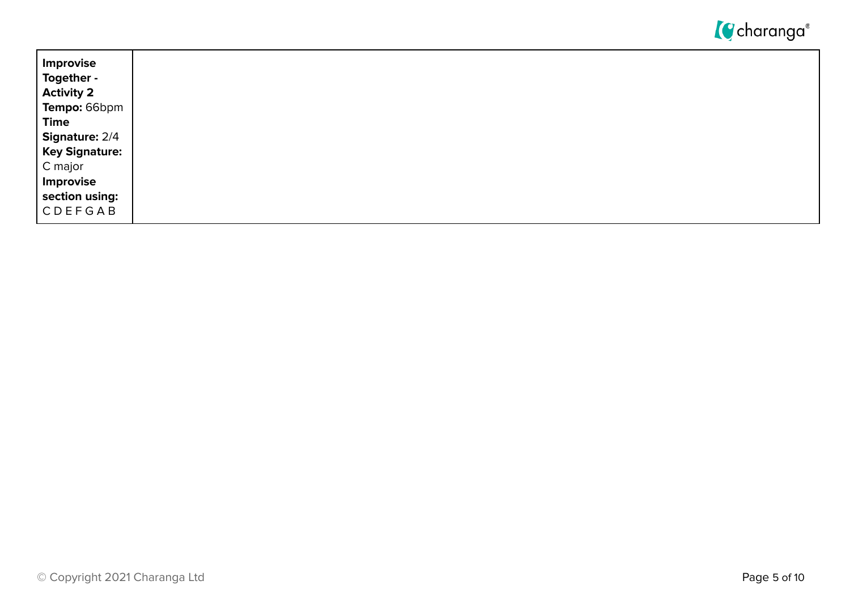

| Improvise                        |
|----------------------------------|
| Together -<br><b>Activity 2</b>  |
| Tempo: 66bpm                     |
| <b>Time</b>                      |
| <b>Signature: 2/4</b>            |
| <b>Key Signature:</b><br>C major |
| Improvise                        |
| section using:                   |
| CDEFGAB                          |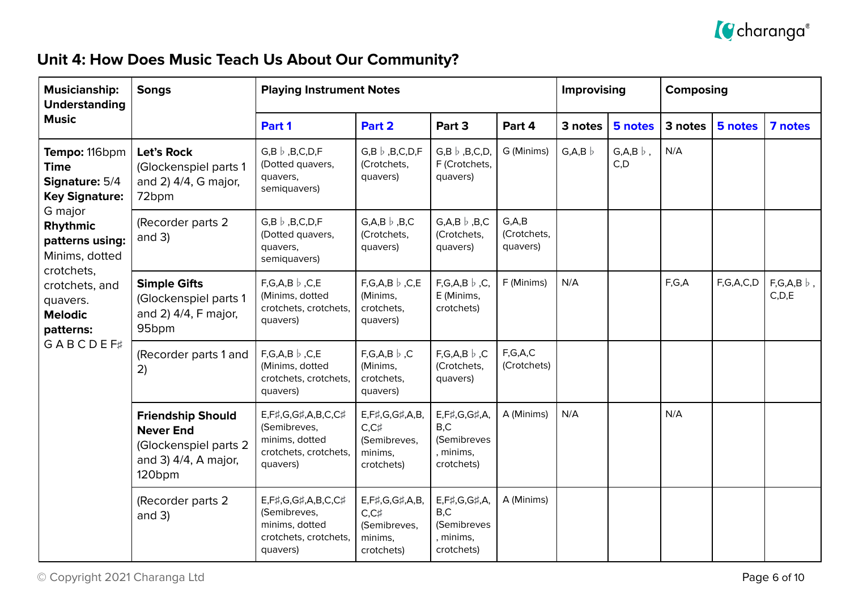

## **Unit 4: How Does Music Teach Us About Our Community?**

| <b>Musicianship:</b><br><b>Understanding</b>                                                                                        | <b>Songs</b>                                                                                                           | <b>Playing Instrument Notes</b>                                                           |                                                                          |                                                                    |                                    | <b>Improvising</b> |                              | <b>Composing</b> |           |                                |
|-------------------------------------------------------------------------------------------------------------------------------------|------------------------------------------------------------------------------------------------------------------------|-------------------------------------------------------------------------------------------|--------------------------------------------------------------------------|--------------------------------------------------------------------|------------------------------------|--------------------|------------------------------|------------------|-----------|--------------------------------|
| <b>Music</b>                                                                                                                        |                                                                                                                        | Part 1                                                                                    | Part 2                                                                   | Part 3                                                             | Part 4                             | 3 notes            | 5 notes                      | 3 notes          | 5 notes   | 7 notes                        |
| Tempo: 116bpm<br><b>Time</b><br>Signature: 5/4<br><b>Key Signature:</b>                                                             | Let's Rock<br>(Glockenspiel parts 1<br>and 2) 4/4, G major,<br>72bpm                                                   | $G,B \flat$ , B, C, D, F<br>(Dotted quavers,<br>quavers,<br>semiquavers)                  | $G,B \; \flat \;$ , B, C, D, F<br>(Crotchets,<br>quavers)                | $G,B \flat$ , B, C, D,<br>F (Crotchets,<br>quavers)                | G (Minims)                         | $G, A, B \;$       | $G, A, B \; \flat$ ,<br>C, D | N/A              |           |                                |
| G major<br>Rhythmic<br>patterns using:<br>Minims, dotted<br>crotchets,<br>crotchets, and<br>quavers.<br><b>Melodic</b><br>patterns: | (Recorder parts 2<br>and $3)$                                                                                          | $G,B \flat$ , B, C, D, F<br>(Dotted quavers,<br>quavers,<br>semiquavers)                  | $G, A, B \, \flat \, , B, C$<br>(Crotchets,<br>quavers)                  | $G.A.B \, b \,$ , B, C<br>(Crotchets,<br>quavers)                  | G, A, B<br>(Crotchets,<br>quavers) |                    |                              |                  |           |                                |
|                                                                                                                                     | <b>Simple Gifts</b><br>(Glockenspiel parts 1<br>and 2) 4/4, F major,<br>95bpm                                          | $F,G,A,B$ $\flat$ , $C,E$<br>(Minims, dotted<br>crotchets, crotchets,<br>quavers)         | $F,G,A,B$ $\flat$ , $C,E$<br>(Minims,<br>crotchets,<br>quavers)          | $F,G,A,B \nvert b, C$<br>E (Minims,<br>crotchets)                  | F (Minims)                         | N/A                |                              | F,G,A            | F,G,A,C,D | $F,G,A,B$ $\flat$ ,<br>C, D, E |
| <b>GABCDEF#</b>                                                                                                                     | (Recorder parts 1 and<br>2)                                                                                            | $F,G,A,B$ $\flat$ , $C,E$<br>(Minims, dotted<br>crotchets, crotchets,<br>quavers)         | $F,G,A,B \nvert b, C$<br>(Minims,<br>crotchets,<br>quavers)              | $F,G,A,B$ $\flat$ , C<br>(Crotchets,<br>quavers)                   | F,G,A,C<br>(Crotchets)             |                    |                              |                  |           |                                |
|                                                                                                                                     | <b>Friendship Should</b><br><b>Never End</b><br>(Glockenspiel parts 2<br>and 3) $4/4$ , A major,<br>120 <sub>bpm</sub> | E,F#,G,G#,A,B,C,C#<br>(Semibreves,<br>minims, dotted<br>crotchets, crotchets,<br>quavers) | E,F#,G,G#,A,B,<br>$C, C$ #<br>(Semibreves,<br>minims,<br>crotchets)      | E,F#,G,G#,A,<br>B, C<br>(Semibreves<br>, minims,<br>crotchets)     | A (Minims)                         | N/A                |                              | N/A              |           |                                |
|                                                                                                                                     | (Recorder parts 2<br>and $3)$                                                                                          | E,F#,G,G#,A,B,C,C#<br>(Semibreves,<br>minims, dotted<br>crotchets, crotchets,<br>quavers) | E, F#, G, G#, A, B,<br>$C, C$ #<br>(Semibreves,<br>minims,<br>crotchets) | E, F#, G, G#, A,<br>B, C<br>(Semibreves<br>, minims,<br>crotchets) | A (Minims)                         |                    |                              |                  |           |                                |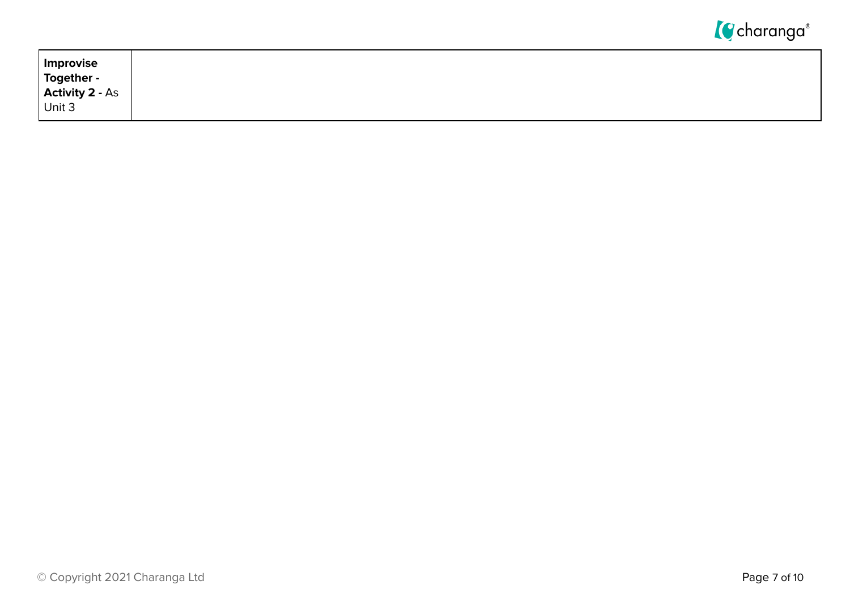

| Improvise                     |
|-------------------------------|
| Together -<br>Activity 2 - As |
|                               |
| Unit 3                        |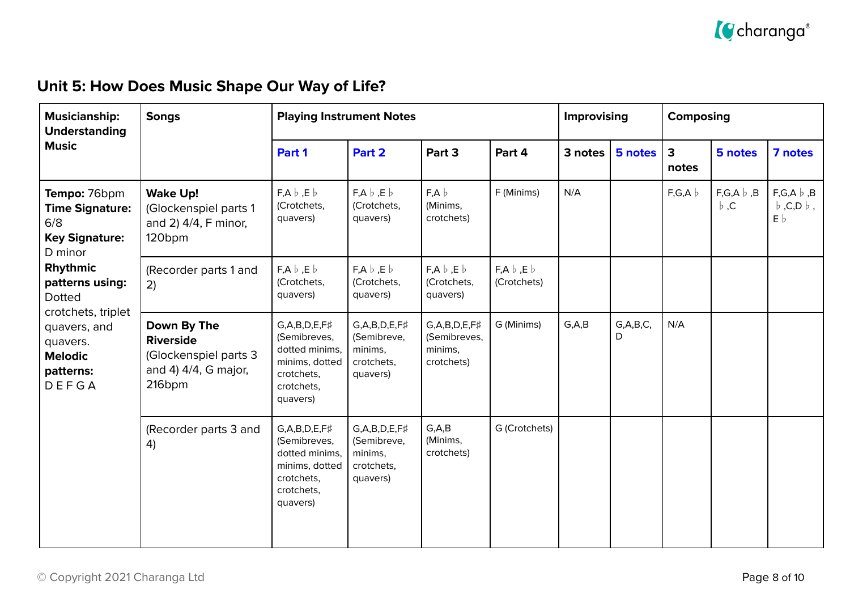

## **Unit 5: How Does Music Shape Our Way of Life?**

| <b>Musicianship:</b><br><b>Understanding</b>                                                                                                                                                                                | <b>Songs</b>                                                                               | <b>Playing Instrument Notes</b>                                                                                      |                                                                              |                                                                   |                                        | Improvising |                  | <b>Composing</b> |                                  |                                                    |
|-----------------------------------------------------------------------------------------------------------------------------------------------------------------------------------------------------------------------------|--------------------------------------------------------------------------------------------|----------------------------------------------------------------------------------------------------------------------|------------------------------------------------------------------------------|-------------------------------------------------------------------|----------------------------------------|-------------|------------------|------------------|----------------------------------|----------------------------------------------------|
| <b>Music</b>                                                                                                                                                                                                                |                                                                                            | Part 1                                                                                                               | Part 2                                                                       | Part 3                                                            | Part 4                                 | 3 notes     | 5 notes          | 3<br>notes       | 5 notes                          | 7 notes                                            |
| Tempo: 76bpm<br><b>Time Signature:</b><br>6/8<br><b>Key Signature:</b><br>D minor<br>Rhythmic<br>patterns using:<br><b>Dotted</b><br>crotchets, triplet<br>quavers, and<br>quavers.<br><b>Melodic</b><br>patterns:<br>DEFGA | <b>Wake Up!</b><br>(Glockenspiel parts 1<br>and 2) 4/4, F minor,<br>120bpm                 | $F, A \flat, E \flat$<br>(Crotchets,<br>quavers)                                                                     | $F, A \flat, E \flat$<br>(Crotchets,<br>quavers)                             | $F, A \; b$<br>(Minims,<br>crotchets)                             | F (Minims)                             | N/A         |                  | F,G,A            | $F,G,A \;   \; B$<br>$\flat$ , C | $F,G,A \;   \; B$<br>$\flat$ ,C,D $\flat$ ,<br>E b |
|                                                                                                                                                                                                                             | (Recorder parts 1 and<br>2)                                                                | $F, A \; b \; , E \; b$<br>(Crotchets,<br>quavers)                                                                   | $F, A \flat, E \flat$<br>(Crotchets,<br>quavers)                             | $F, A \; b \; F \; b$<br>(Crotchets,<br>quavers)                  | $F, A \; b \; , E \; b$<br>(Crotchets) |             |                  |                  |                                  |                                                    |
|                                                                                                                                                                                                                             | Down By The<br><b>Riverside</b><br>(Glockenspiel parts 3<br>and 4) 4/4, G major,<br>216bpm | $G, A, B, D, E, F\sharp$<br>(Semibreves,<br>dotted minims,<br>minims, dotted<br>crotchets,<br>crotchets,<br>quavers) | $G, A, B, D, E, F\sharp$<br>(Semibreve,<br>minims,<br>crotchets,<br>quavers) | $G, A, B, D, E, F\sharp$<br>(Semibreves,<br>minims,<br>crotchets) | G (Minims)                             | G, A, B     | G, A, B, C,<br>D | N/A              |                                  |                                                    |
|                                                                                                                                                                                                                             | (Recorder parts 3 and<br>4)                                                                | $G, A, B, D, E, F\sharp$<br>(Semibreves,<br>dotted minims,<br>minims, dotted<br>crotchets,<br>crotchets,<br>quavers) | $G, A, B, D, E, F\sharp$<br>(Semibreve,<br>minims,<br>crotchets,<br>quavers) | G, A, B<br>(Minims,<br>crotchets)                                 | G (Crotchets)                          |             |                  |                  |                                  |                                                    |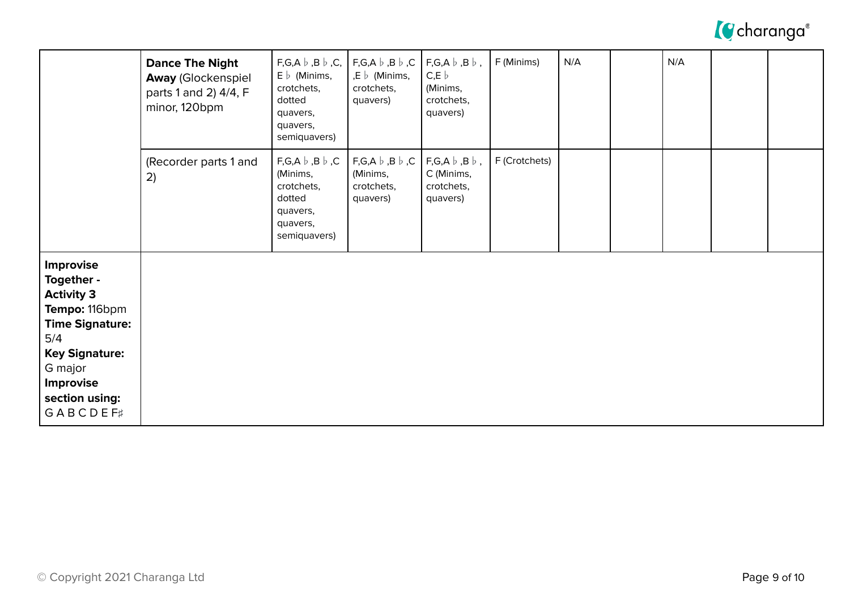

|                                                                                                                                                                                      | <b>Dance The Night</b><br><b>Away (Glockenspiel</b><br>parts 1 and 2) 4/4, F<br>minor, 120bpm | $F,G,A \;   \; B \;   \; C, \;  $<br>$E \, \flat$ (Minims,<br>crotchets,<br>dotted<br>quavers,<br>quavers,<br>semiquavers) | $F,G,A \;   \; B \;   \; C$<br>,E $\flat$ (Minims,<br>crotchets,<br>quavers) | $F,G,A \; b \; ,B \; b \; ,$<br>$C, E \downharpoonright$<br>(Minims,<br>crotchets,<br>quavers) | F (Minims)    | N/A | N/A |  |
|--------------------------------------------------------------------------------------------------------------------------------------------------------------------------------------|-----------------------------------------------------------------------------------------------|----------------------------------------------------------------------------------------------------------------------------|------------------------------------------------------------------------------|------------------------------------------------------------------------------------------------|---------------|-----|-----|--|
|                                                                                                                                                                                      | (Recorder parts 1 and<br>2)                                                                   | $F,G,A \;   \; B \;   \; C$<br>(Minims,<br>crotchets,<br>dotted<br>quavers,<br>quavers,<br>semiquavers)                    | $F,G,A \;   \; B \;   \; C$<br>(Minims,<br>crotchets,<br>quavers)            | $F,G,A \; b \; ,B \; b \; ,$<br>C (Minims,<br>crotchets,<br>quavers)                           | F (Crotchets) |     |     |  |
| Improvise<br>Together -<br><b>Activity 3</b><br>Tempo: 116bpm<br><b>Time Signature:</b><br>5/4<br><b>Key Signature:</b><br>G major<br>Improvise<br>section using:<br><b>GABCDEF#</b> |                                                                                               |                                                                                                                            |                                                                              |                                                                                                |               |     |     |  |